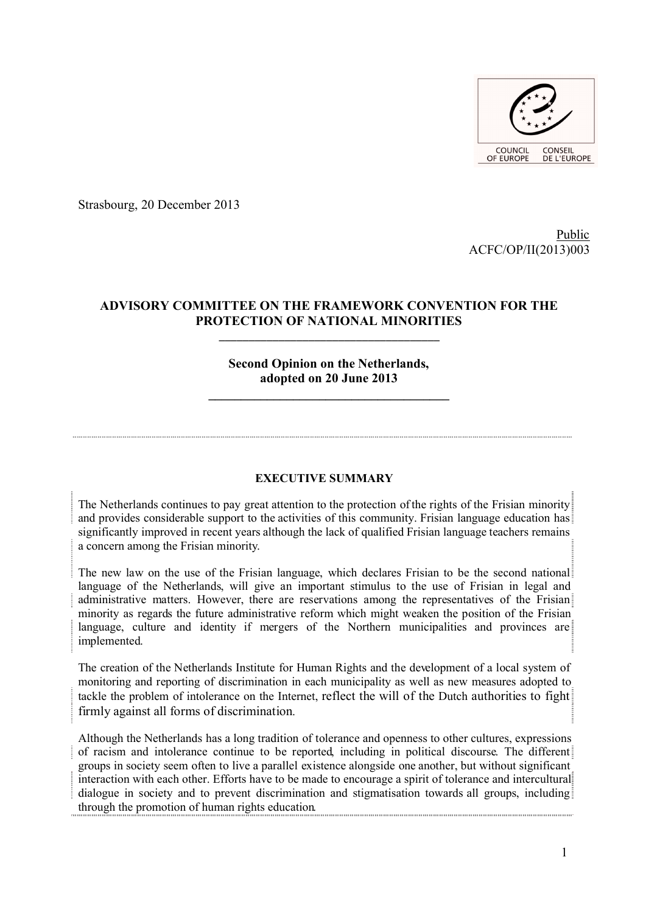

Strasbourg, 20 December 2013

Public ACFC/OP/II(2013)003

#### **ADVISORY COMMITTEE ON THE FRAMEWORK CONVENTION FOR THE PROTECTION OF NATIONAL MINORITIES**

\_\_\_\_\_\_\_\_\_\_\_\_\_\_\_\_\_\_\_\_\_\_\_\_\_\_\_\_\_\_\_\_\_\_\_\_\_

#### **Second Opinion on the Netherlands, adopted on 20 June 2013**

**\_\_\_\_\_\_\_\_\_\_\_\_\_\_\_\_\_\_\_\_\_\_\_\_\_\_\_\_\_\_\_\_\_\_\_\_\_**

**EXECUTIVE SUMMARY**

The Netherlands continues to pay great attention to the protection of the rights of the Frisian minority and provides considerable support to the activities of this community. Frisian language education has significantly improved in recent years although the lack of qualified Frisian language teachers remains a concern among the Frisian minority.

The new law on the use of the Frisian language, which declares Frisian to be the second national language of the Netherlands, will give an important stimulus to the use of Frisian in legal and administrative matters. However, there are reservations among the representatives of the Frisian minority as regards the future administrative reform which might weaken the position of the Frisian language, culture and identity if mergers of the Northern municipalities and provinces are implemented.

The creation of the Netherlands Institute for Human Rights and the development of a local system of monitoring and reporting of discrimination in each municipality as well as new measures adopted to tackle the problem of intolerance on the Internet, reflect the will of the Dutch authorities to fight firmly against all forms of discrimination.

Although the Netherlands has a long tradition of tolerance and openness to other cultures, expressions of racism and intolerance continue to be reported, including in political discourse. The different groups in society seem often to live a parallel existence alongside one another, but without significant interaction with each other. Efforts have to be made to encourage a spirit of tolerance and intercultural dialogue in society and to prevent discrimination and stigmatisation towards all groups, including through the promotion of human rights education.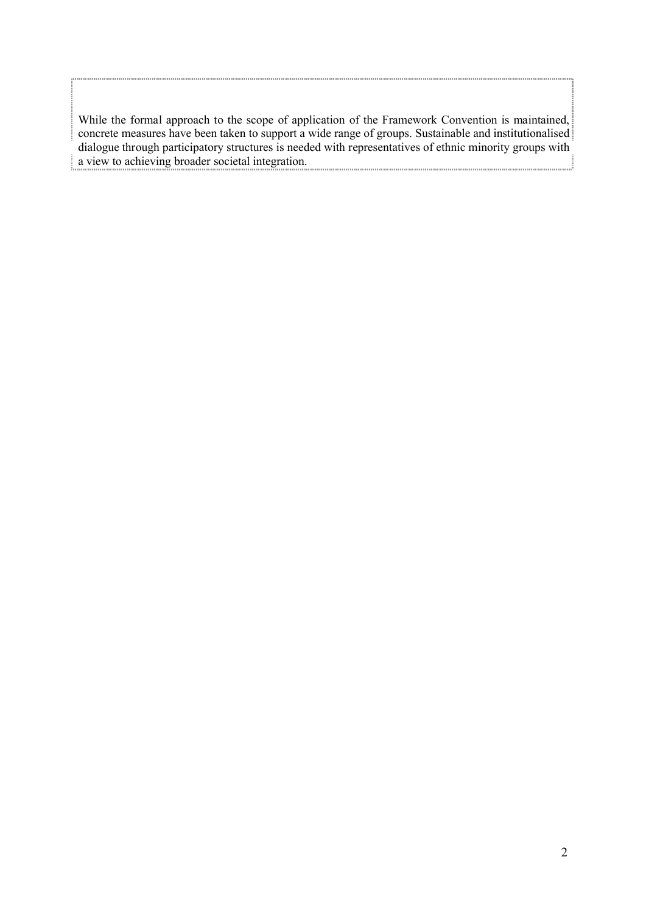While the formal approach to the scope of application of the Framework Convention is maintained, concrete measures have been taken to support a wide range of groups. Sustainable and institutionalised dialogue through participatory structures is needed with representatives of ethnic minority groups with a view to achieving broader societal integration.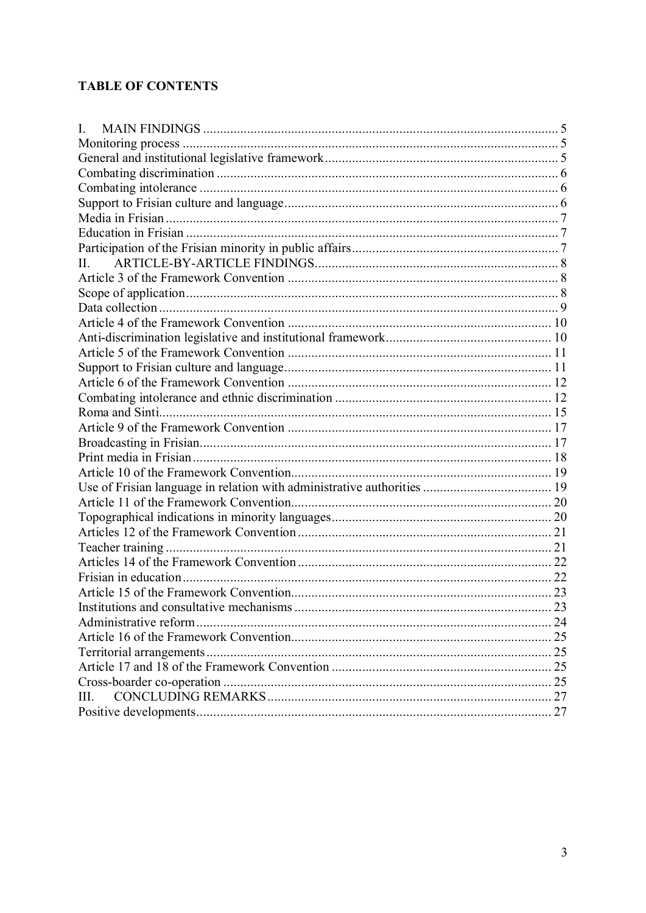# **TABLE OF CONTENTS**

| I.           |    |
|--------------|----|
|              |    |
|              |    |
|              |    |
|              |    |
|              |    |
|              |    |
|              |    |
|              |    |
| $\mathbf{H}$ |    |
|              |    |
|              |    |
|              |    |
|              |    |
|              |    |
|              |    |
|              |    |
|              |    |
|              |    |
|              |    |
|              |    |
|              |    |
|              |    |
|              |    |
|              |    |
|              |    |
|              |    |
|              |    |
|              |    |
|              |    |
|              |    |
|              |    |
|              | 23 |
|              |    |
|              |    |
|              |    |
|              |    |
|              |    |
| Ш.           |    |
|              |    |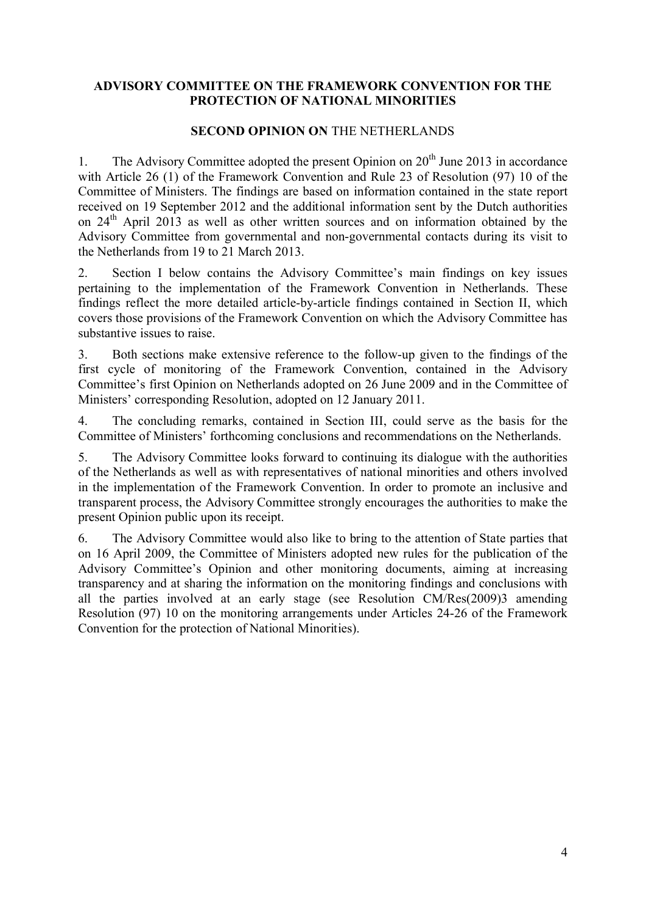#### **ADVISORY COMMITTEE ON THE FRAMEWORK CONVENTION FOR THE PROTECTION OF NATIONAL MINORITIES**

#### **SECOND OPINION ON THE NETHERLANDS**

1. The Advisory Committee adopted the present Opinion on  $20<sup>th</sup>$  June 2013 in accordance with Article 26 (1) of the Framework Convention and Rule 23 of Resolution (97) 10 of the Committee of Ministers. The findings are based on information contained in the state report received on 19 September 2012 and the additional information sent by the Dutch authorities on 24<sup>th</sup> April 2013 as well as other written sources and on information obtained by the Advisory Committee from governmental and non-governmental contacts during its visit to the Netherlands from 19 to 21 March 2013.

2. Section I below contains the Advisory Committee's main findings on key issues pertaining to the implementation of the Framework Convention in Netherlands. These findings reflect the more detailed article-by-article findings contained in Section II, which covers those provisions of the Framework Convention on which the Advisory Committee has substantive issues to raise.

3. Both sections make extensive reference to the follow-up given to the findings of the first cycle of monitoring of the Framework Convention, contained in the Advisory Committee's first Opinion on Netherlands adopted on 26 June 2009 and in the Committee of Ministers' corresponding Resolution, adopted on 12 January 2011.

4. The concluding remarks, contained in Section III, could serve as the basis for the Committee of Ministers' forthcoming conclusions and recommendations on the Netherlands.

5. The Advisory Committee looks forward to continuing its dialogue with the authorities of the Netherlands as well as with representatives of national minorities and others involved in the implementation of the Framework Convention. In order to promote an inclusive and transparent process, the Advisory Committee strongly encourages the authorities to make the present Opinion public upon its receipt.

6. The Advisory Committee would also like to bring to the attention of State parties that on 16 April 2009, the Committee of Ministers adopted new rules for the publication of the Advisory Committee's Opinion and other monitoring documents, aiming at increasing transparency and at sharing the information on the monitoring findings and conclusions with all the parties involved at an early stage (see Resolution CM/Res(2009)3 amending Resolution (97) 10 on the monitoring arrangements under Articles 24-26 of the Framework Convention for the protection of National Minorities).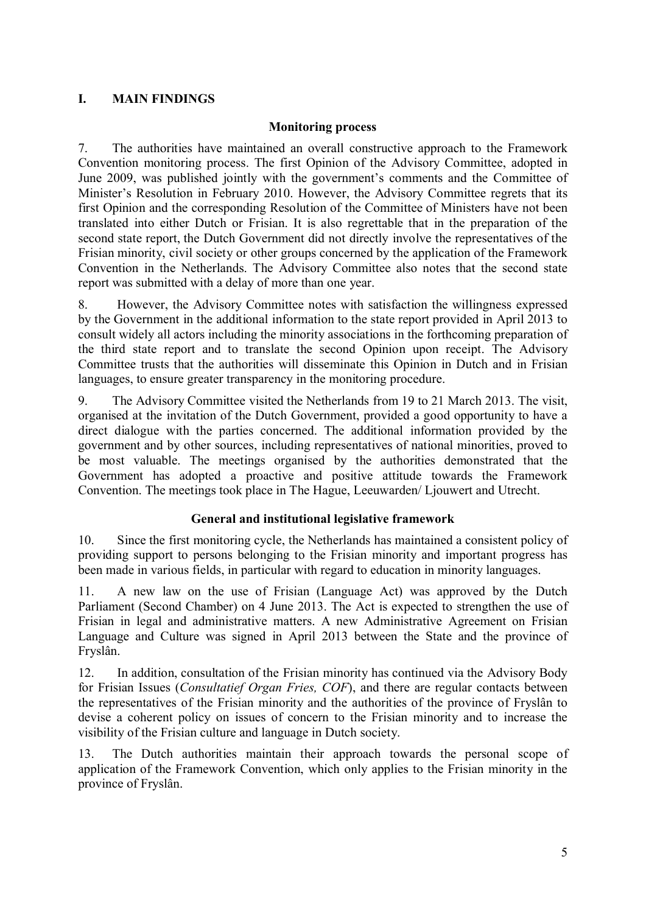# <span id="page-4-2"></span>**I. MAIN FINDINGS**

#### **Monitoring process**

<span id="page-4-1"></span>7. The authorities have maintained an overall constructive approach to the Framework Convention monitoring process. The first Opinion of the Advisory Committee, adopted in June 2009, was published jointly with the government's comments and the Committee of Minister's Resolution in February 2010. However, the Advisory Committee regrets that its first Opinion and the corresponding Resolution of the Committee of Ministers have not been translated into either Dutch or Frisian. It is also regrettable that in the preparation of the second state report, the Dutch Government did not directly involve the representatives of the Frisian minority, civil society or other groups concerned by the application of the Framework Convention in the Netherlands. The Advisory Committee also notes that the second state report was submitted with a delay of more than one year.

8. However, the Advisory Committee notes with satisfaction the willingness expressed by the Government in the additional information to the state report provided in April 2013 to consult widely all actors including the minority associations in the forthcoming preparation of the third state report and to translate the second Opinion upon receipt. The Advisory Committee trusts that the authorities will disseminate this Opinion in Dutch and in Frisian languages, to ensure greater transparency in the monitoring procedure.

9. The Advisory Committee visited the Netherlands from 19 to 21 March 2013. The visit, organised at the invitation of the Dutch Government, provided a good opportunity to have a direct dialogue with the parties concerned. The additional information provided by the government and by other sources, including representatives of national minorities, proved to be most valuable. The meetings organised by the authorities demonstrated that the Government has adopted a proactive and positive attitude towards the Framework Convention. The meetings took place in The Hague, Leeuwarden/ Ljouwert and Utrecht.

## **General and institutional legislative framework**

<span id="page-4-0"></span>10. Since the first monitoring cycle, the Netherlands has maintained a consistent policy of providing support to persons belonging to the Frisian minority and important progress has been made in various fields, in particular with regard to education in minority languages.

11. A new law on the use of Frisian (Language Act) was approved by the Dutch Parliament (Second Chamber) on 4 June 2013. The Act is expected to strengthen the use of Frisian in legal and administrative matters. A new Administrative Agreement on Frisian Language and Culture was signed in April 2013 between the State and the province of Fryslân.

12. In addition, consultation of the Frisian minority has continued via the Advisory Body for Frisian Issues (*Consultatief Organ Fries, COF*), and there are regular contacts between the representatives of the Frisian minority and the authorities of the province of Fryslân to devise a coherent policy on issues of concern to the Frisian minority and to increase the visibility of the Frisian culture and language in Dutch society.

13. The Dutch authorities maintain their approach towards the personal scope of application of the Framework Convention, which only applies to the Frisian minority in the province of Fryslân.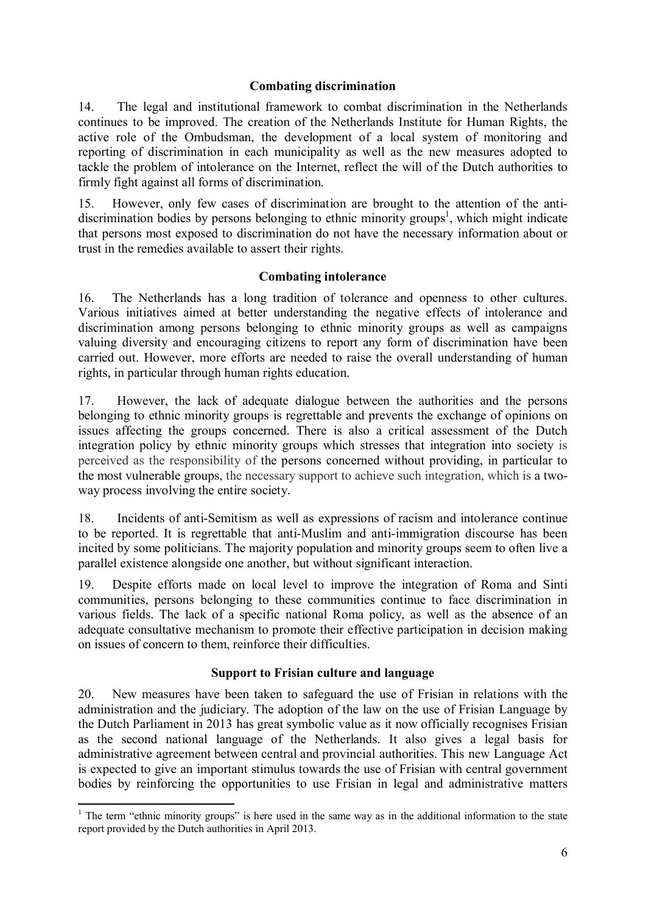#### **Combating discrimination**

<span id="page-5-2"></span>14. The legal and institutional framework to combat discrimination in the Netherlands continues to be improved. The creation of the Netherlands Institute for Human Rights, the active role of the Ombudsman, the development of a local system of monitoring and reporting of discrimination in each municipality as well as the new measures adopted to tackle the problem of intolerance on the Internet, reflect the will of the Dutch authorities to firmly fight against all forms of discrimination.

15. However, only few cases of discrimination are brought to the attention of the anti-discrimination bodies by persons belonging to ethnic minority groups<sup>[1](#page-5-3)</sup>, which might indicate that persons most exposed to discrimination do not have the necessary information about or trust in the remedies available to assert their rights.

#### **Combating intolerance**

<span id="page-5-1"></span>16. The Netherlands has a long tradition of tolerance and openness to other cultures. Various initiatives aimed at better understanding the negative effects of intolerance and discrimination among persons belonging to ethnic minority groups as well as campaigns valuing diversity and encouraging citizens to report any form of discrimination have been carried out. However, more efforts are needed to raise the overall understanding of human rights, in particular through human rights education.

17. However, the lack of adequate dialogue between the authorities and the persons belonging to ethnic minority groups is regrettable and prevents the exchange of opinions on issues affecting the groups concerned. There is also a critical assessment of the Dutch integration policy by ethnic minority groups which stresses that integration into society is perceived as the responsibility of the persons concerned without providing, in particular to the most vulnerable groups, the necessary support to achieve such integration, which is a twoway process involving the entire society.

18. Incidents of anti-Semitism as well as expressions of racism and intolerance continue to be reported. It is regrettable that anti-Muslim and anti-immigration discourse has been incited by some politicians. The majority population and minority groups seem to often live a parallel existence alongside one another, but without significant interaction.

19. Despite efforts made on local level to improve the integration of Roma and Sinti communities, persons belonging to these communities continue to face discrimination in various fields. The lack of a specific national Roma policy, as well as the absence of an adequate consultative mechanism to promote their effective participation in decision making on issues of concern to them, reinforce their difficulties.

## **Support to Frisian culture and language**

<span id="page-5-0"></span>20. New measures have been taken to safeguard the use of Frisian in relations with the administration and the judiciary. The adoption of the law on the use of Frisian Language by the Dutch Parliament in 2013 has great symbolic value as it now officially recognises Frisian as the second national language of the Netherlands. It also gives a legal basis for administrative agreement between central and provincial authorities. This new Language Act is expected to give an important stimulus towards the use of Frisian with central government bodies by reinforcing the opportunities to use Frisian in legal and administrative matters

<span id="page-5-3"></span> $\overline{a}$  $1$  The term "ethnic minority groups" is here used in the same way as in the additional information to the state report provided by the Dutch authorities in April 2013.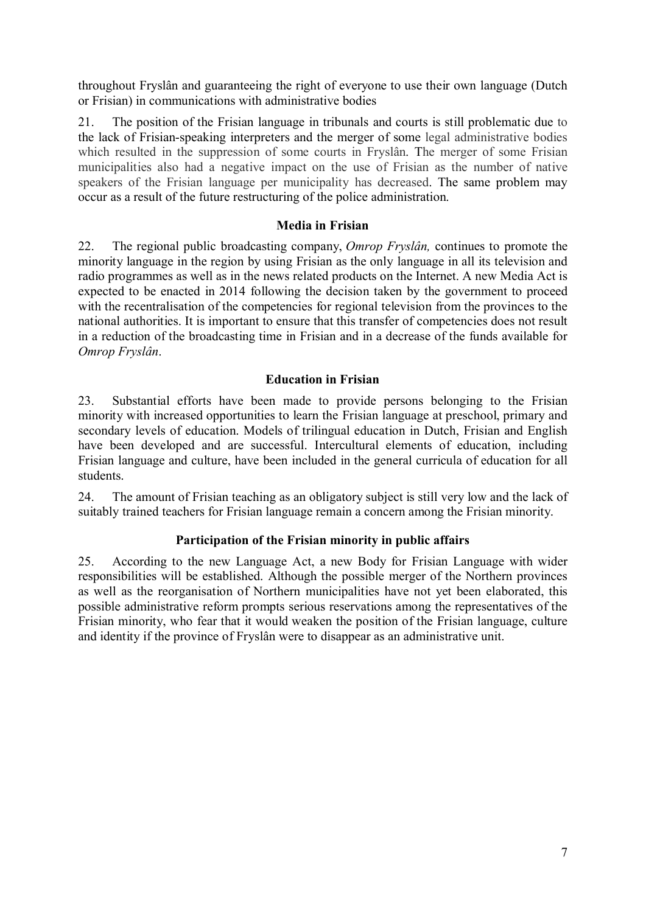throughout Fryslân and guaranteeing the right of everyone to use their own language (Dutch or Frisian) in communications with administrative bodies

21. The position of the Frisian language in tribunals and courts is still problematic due to the lack of Frisian-speaking interpreters and the merger of some legal administrative bodies which resulted in the suppression of some courts in Fryslân. The merger of some Frisian municipalities also had a negative impact on the use of Frisian as the number of native speakers of the Frisian language per municipality has decreased. The same problem may occur as a result of the future restructuring of the police administration.

#### **Media in Frisian**

<span id="page-6-2"></span>22. The regional public broadcasting company, *Omrop Fryslân,* continues to promote the minority language in the region by using Frisian as the only language in all its television and radio programmes as well as in the news related products on the Internet. A new Media Act is expected to be enacted in 2014 following the decision taken by the government to proceed with the recentralisation of the competencies for regional television from the provinces to the national authorities. It is important to ensure that this transfer of competencies does not result in a reduction of the broadcasting time in Frisian and in a decrease of the funds available for *Omrop Fryslân*.

## **Education in Frisian**

<span id="page-6-1"></span>23. Substantial efforts have been made to provide persons belonging to the Frisian minority with increased opportunities to learn the Frisian language at preschool, primary and secondary levels of education. Models of trilingual education in Dutch, Frisian and English have been developed and are successful. Intercultural elements of education, including Frisian language and culture, have been included in the general curricula of education for all students.

24. The amount of Frisian teaching as an obligatory subject is still very low and the lack of suitably trained teachers for Frisian language remain a concern among the Frisian minority.

## **Participation of the Frisian minority in public affairs**

<span id="page-6-0"></span>25. According to the new Language Act, a new Body for Frisian Language with wider responsibilities will be established. Although the possible merger of the Northern provinces as well as the reorganisation of Northern municipalities have not yet been elaborated, this possible administrative reform prompts serious reservations among the representatives of the Frisian minority, who fear that it would weaken the position of the Frisian language, culture and identity if the province of Fryslân were to disappear as an administrative unit.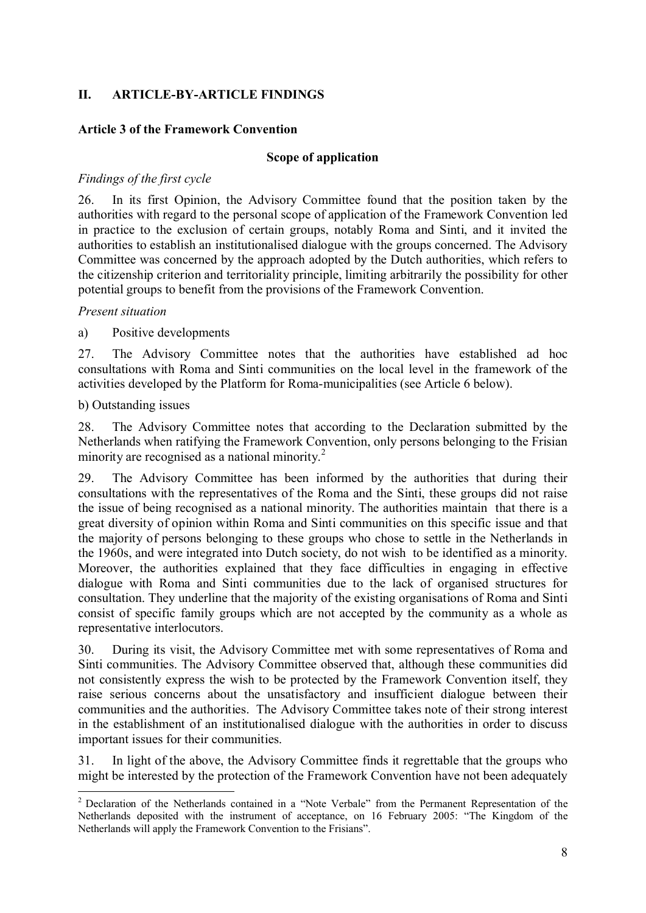# <span id="page-7-2"></span>**II. ARTICLE-BY-ARTICLE FINDINGS**

#### <span id="page-7-1"></span><span id="page-7-0"></span>**Article 3 of the Framework Convention**

#### **Scope of application**

#### *Findings of the first cycle*

26. In its first Opinion, the Advisory Committee found that the position taken by the authorities with regard to the personal scope of application of the Framework Convention led in practice to the exclusion of certain groups, notably Roma and Sinti, and it invited the authorities to establish an institutionalised dialogue with the groups concerned. The Advisory Committee was concerned by the approach adopted by the Dutch authorities, which refers to the citizenship criterion and territoriality principle, limiting arbitrarily the possibility for other potential groups to benefit from the provisions of the Framework Convention.

#### *Present situation*

a) Positive developments

27. The Advisory Committee notes that the authorities have established ad hoc consultations with Roma and Sinti communities on the local level in the framework of the activities developed by the Platform for Roma-municipalities (see Article 6 below).

b) Outstanding issues

**.** 

28. The Advisory Committee notes that according to the Declaration submitted by the Netherlands when ratifying the Framework Convention, only persons belonging to the Frisian minority are recognised as a national minority. [2](#page-7-3)

29. The Advisory Committee has been informed by the authorities that during their consultations with the representatives of the Roma and the Sinti, these groups did not raise the issue of being recognised as a national minority. The authorities maintain that there is a great diversity of opinion within Roma and Sinti communities on this specific issue and that the majority of persons belonging to these groups who chose to settle in the Netherlands in the 1960s, and were integrated into Dutch society, do not wish to be identified as a minority. Moreover, the authorities explained that they face difficulties in engaging in effective dialogue with Roma and Sinti communities due to the lack of organised structures for consultation. They underline that the majority of the existing organisations of Roma and Sinti consist of specific family groups which are not accepted by the community as a whole as representative interlocutors.

30. During its visit, the Advisory Committee met with some representatives of Roma and Sinti communities. The Advisory Committee observed that, although these communities did not consistently express the wish to be protected by the Framework Convention itself, they raise serious concerns about the unsatisfactory and insufficient dialogue between their communities and the authorities. The Advisory Committee takes note of their strong interest in the establishment of an institutionalised dialogue with the authorities in order to discuss important issues for their communities.

31. In light of the above, the Advisory Committee finds it regrettable that the groups who might be interested by the protection of the Framework Convention have not been adequately

<span id="page-7-3"></span> $2$  Declaration of the Netherlands contained in a "Note Verbale" from the Permanent Representation of the Netherlands deposited with the instrument of acceptance, on 16 February 2005: "The Kingdom of the Netherlands will apply the Framework Convention to the Frisians".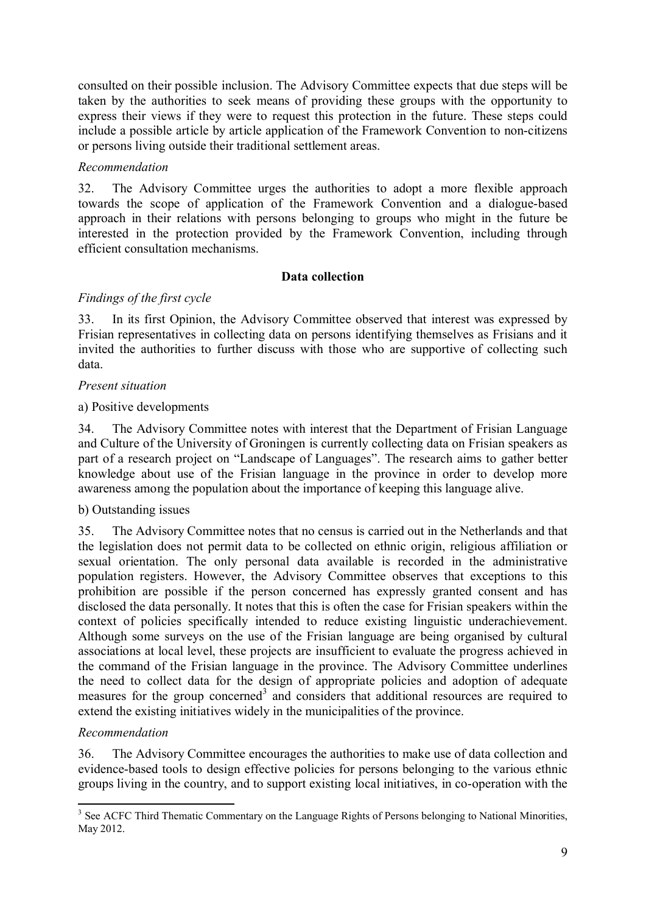consulted on their possible inclusion. The Advisory Committee expects that due steps will be taken by the authorities to seek means of providing these groups with the opportunity to express their views if they were to request this protection in the future. These steps could include a possible article by article application of the Framework Convention to non-citizens or persons living outside their traditional settlement areas.

## *Recommendation*

32. The Advisory Committee urges the authorities to adopt a more flexible approach towards the scope of application of the Framework Convention and a dialogue-based approach in their relations with persons belonging to groups who might in the future be interested in the protection provided by the Framework Convention, including through efficient consultation mechanisms.

# **Data collection**

# <span id="page-8-0"></span>*Findings of the first cycle*

33. In its first Opinion, the Advisory Committee observed that interest was expressed by Frisian representatives in collecting data on persons identifying themselves as Frisians and it invited the authorities to further discuss with those who are supportive of collecting such data.

# *Present situation*

a) Positive developments

34. The Advisory Committee notes with interest that the Department of Frisian Language and Culture of the University of Groningen is currently collecting data on Frisian speakers as part of a research project on "Landscape of Languages". The research aims to gather better knowledge about use of the Frisian language in the province in order to develop more awareness among the population about the importance of keeping this language alive.

# b) Outstanding issues

35. The Advisory Committee notes that no census is carried out in the Netherlands and that the legislation does not permit data to be collected on ethnic origin, religious affiliation or sexual orientation. The only personal data available is recorded in the administrative population registers. However, the Advisory Committee observes that exceptions to this prohibition are possible if the person concerned has expressly granted consent and has disclosed the data personally. It notes that this is often the case for Frisian speakers within the context of policies specifically intended to reduce existing linguistic underachievement. Although some surveys on the use of the Frisian language are being organised by cultural associations at local level, these projects are insufficient to evaluate the progress achieved in the command of the Frisian language in the province. The Advisory Committee underlines the need to collect data for the design of appropriate policies and adoption of adequate measures for the group concerned<sup>[3](#page-8-1)</sup> and considers that additional resources are required to extend the existing initiatives widely in the municipalities of the province.

# *Recommendation*

36. The Advisory Committee encourages the authorities to make use of data collection and evidence-based tools to design effective policies for persons belonging to the various ethnic groups living in the country, and to support existing local initiatives, in co-operation with the

<span id="page-8-1"></span><sup>&</sup>lt;sup>3</sup> See ACFC Third Thematic Commentary on the Language Rights of Persons belonging to National Minorities, May 2012.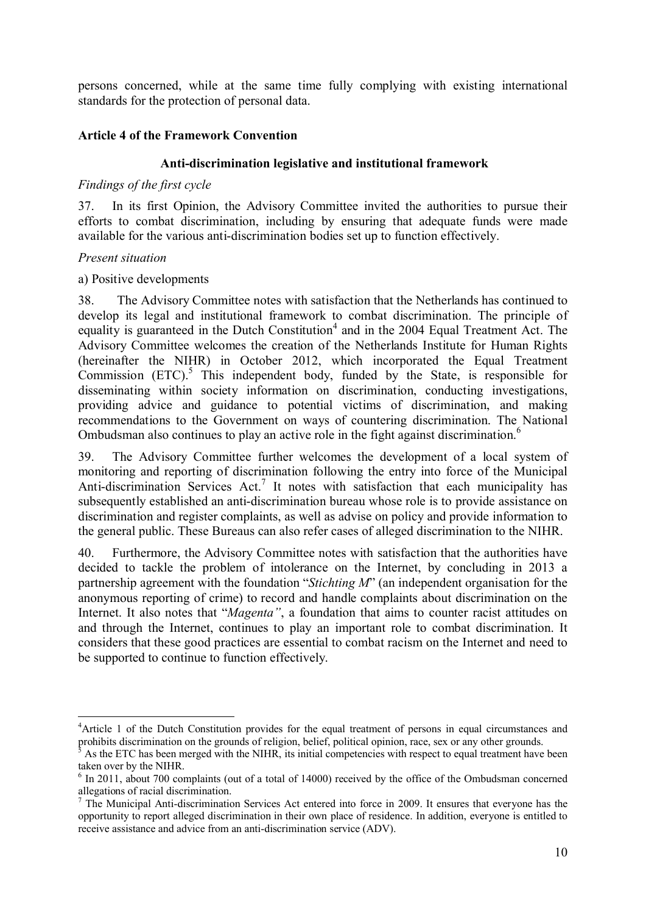persons concerned, while at the same time fully complying with existing international standards for the protection of personal data.

## <span id="page-9-1"></span><span id="page-9-0"></span>**Article 4 of the Framework Convention**

#### **Anti-discrimination legislative and institutional framework**

#### *Findings of the first cycle*

37. In its first Opinion, the Advisory Committee invited the authorities to pursue their efforts to combat discrimination, including by ensuring that adequate funds were made available for the various anti-discrimination bodies set up to function effectively.

#### *Present situation*

<u>.</u>

#### a) Positive developments

38. The Advisory Committee notes with satisfaction that the Netherlands has continued to develop its legal and institutional framework to combat discrimination. The principle of equality is guaranteed in the Dutch Constitution<sup>[4](#page-9-2)</sup> and in the 2004 Equal Treatment Act. The Advisory Committee welcomes the creation of the Netherlands Institute for Human Rights (hereinafter the NIHR) in October 2012, which incorporated the Equal Treatment Commission  $(ETC)$ <sup>[5](#page-9-3)</sup> This independent body, funded by the State, is responsible for disseminating within society information on discrimination, conducting investigations, providing advice and guidance to potential victims of discrimination, and making recommendations to the Government on ways of countering discrimination. The National Ombudsman also continues to play an active role in the fight against discrimination.<sup>[6](#page-9-4)</sup>

39. The Advisory Committee further welcomes the development of a local system of monitoring and reporting of discrimination following the entry into force of the Municipal Anti-discrimination Services Act.<sup>[7](#page-9-5)</sup> It notes with satisfaction that each municipality has subsequently established an anti-discrimination bureau whose role is to provide assistance on discrimination and register complaints, as well as advise on policy and provide information to the general public. These Bureaus can also refer cases of alleged discrimination to the NIHR.

40. Furthermore, the Advisory Committee notes with satisfaction that the authorities have decided to tackle the problem of intolerance on the Internet, by concluding in 2013 a partnership agreement with the foundation "*Stichting M*" (an independent organisation for the anonymous reporting of crime) to record and handle complaints about discrimination on the Internet. It also notes that "*Magenta"*, a foundation that aims to counter racist attitudes on and through the Internet, continues to play an important role to combat discrimination. It considers that these good practices are essential to combat racism on the Internet and need to be supported to continue to function effectively.

<span id="page-9-2"></span><sup>&</sup>lt;sup>4</sup>Article 1 of the Dutch Constitution provides for the equal treatment of persons in equal circumstances and prohibits discrimination on the grounds of religion, belief, political opinion, race, sex or any other grounds.

<span id="page-9-3"></span><sup>5</sup> As the ETC has been merged with the NIHR, its initial competencies with respect to equal treatment have been taken over by the NIHR.

<span id="page-9-4"></span><sup>&</sup>lt;sup>6</sup> In 2011, about 700 complaints (out of a total of 14000) received by the office of the Ombudsman concerned allegations of racial discrimination.

<span id="page-9-5"></span> $<sup>7</sup>$  The Municipal Anti-discrimination Services Act entered into force in 2009. It ensures that everyone has the</sup> opportunity to report alleged discrimination in their own place of residence. In addition, everyone is entitled to receive assistance and advice from an anti-discrimination service (ADV).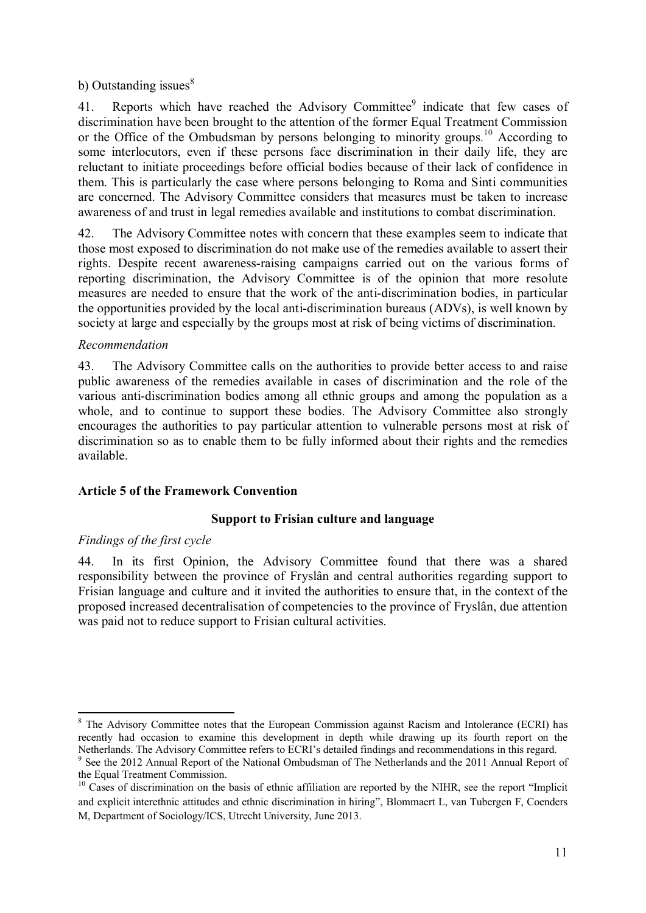b) Outstanding issues $8$ 

41. Reports which have reached the Advisory Committee<sup>[9](#page-10-3)</sup> indicate that few cases of discrimination have been brought to the attention of the former Equal Treatment Commission or the Office of the Ombudsman by persons belonging to minority groups.<sup>[10](#page-10-4)</sup> According to some interlocutors, even if these persons face discrimination in their daily life, they are reluctant to initiate proceedings before official bodies because of their lack of confidence in them. This is particularly the case where persons belonging to Roma and Sinti communities are concerned. The Advisory Committee considers that measures must be taken to increase awareness of and trust in legal remedies available and institutions to combat discrimination.

42. The Advisory Committee notes with concern that these examples seem to indicate that those most exposed to discrimination do not make use of the remedies available to assert their rights. Despite recent awareness-raising campaigns carried out on the various forms of reporting discrimination, the Advisory Committee is of the opinion that more resolute measures are needed to ensure that the work of the anti-discrimination bodies, in particular the opportunities provided by the local anti-discrimination bureaus (ADVs), is well known by society at large and especially by the groups most at risk of being victims of discrimination.

## *Recommendation*

43. The Advisory Committee calls on the authorities to provide better access to and raise public awareness of the remedies available in cases of discrimination and the role of the various anti-discrimination bodies among all ethnic groups and among the population as a whole, and to continue to support these bodies. The Advisory Committee also strongly encourages the authorities to pay particular attention to vulnerable persons most at risk of discrimination so as to enable them to be fully informed about their rights and the remedies available.

# <span id="page-10-1"></span><span id="page-10-0"></span>**Article 5 of the Framework Convention**

# **Support to Frisian culture and language**

## *Findings of the first cycle*

**.** 

44. In its first Opinion, the Advisory Committee found that there was a shared responsibility between the province of Fryslân and central authorities regarding support to Frisian language and culture and it invited the authorities to ensure that, in the context of the proposed increased decentralisation of competencies to the province of Fryslân, due attention was paid not to reduce support to Frisian cultural activities.

<span id="page-10-2"></span><sup>&</sup>lt;sup>8</sup> The Advisory Committee notes that the European Commission against Racism and Intolerance (ECRI) has recently had occasion to examine this development in depth while drawing up its fourth report on the

<span id="page-10-3"></span>Netherlands. The Advisory Committee refers to ECRI's detailed findings and recommendations in this regard.<br><sup>9</sup> See the 2012 Annual Report of the National Ombudsman of The Netherlands and the 2011 Annual Report of the Equal Treatment Commission.

<span id="page-10-4"></span><sup>&</sup>lt;sup>10</sup> Cases of discrimination on the basis of ethnic affiliation are reported by the NIHR, see the report "Implicit and explicit interethnic attitudes and ethnic discrimination in hiring", Blommaert L, van Tubergen F, Coenders M, Department of Sociology/ICS, Utrecht University, June 2013.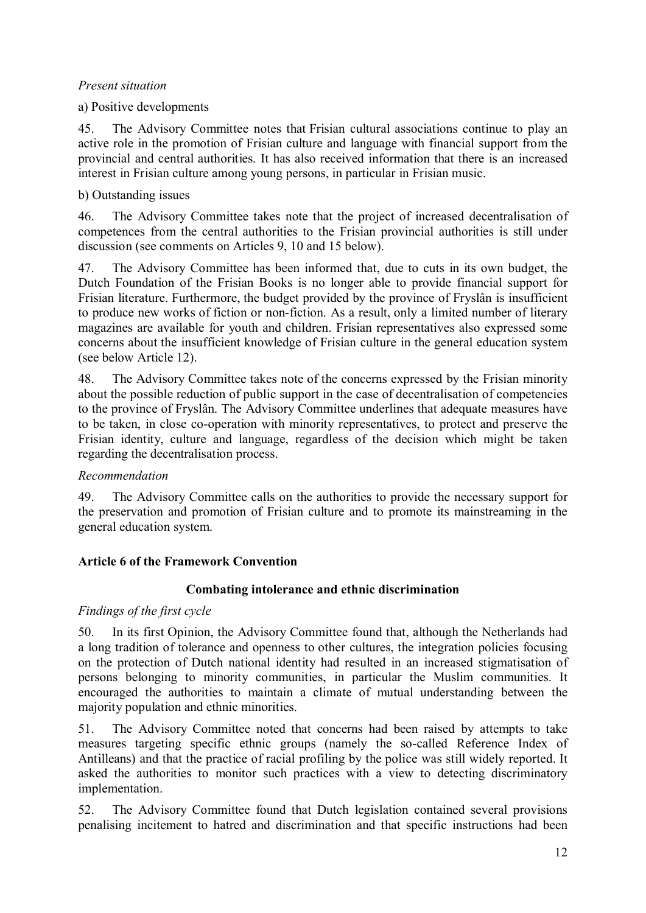## *Present situation*

# a) Positive developments

45. The Advisory Committee notes that Frisian cultural associations continue to play an active role in the promotion of Frisian culture and language with financial support from the provincial and central authorities. It has also received information that there is an increased interest in Frisian culture among young persons, in particular in Frisian music.

# b) Outstanding issues

46. The Advisory Committee takes note that the project of increased decentralisation of competences from the central authorities to the Frisian provincial authorities is still under discussion (see comments on Articles 9, 10 and 15 below).

47. The Advisory Committee has been informed that, due to cuts in its own budget, the Dutch Foundation of the Frisian Books is no longer able to provide financial support for Frisian literature. Furthermore, the budget provided by the province of Fryslân is insufficient to produce new works of fiction or non-fiction. As a result, only a limited number of literary magazines are available for youth and children. Frisian representatives also expressed some concerns about the insufficient knowledge of Frisian culture in the general education system (see below Article 12).

48. The Advisory Committee takes note of the concerns expressed by the Frisian minority about the possible reduction of public support in the case of decentralisation of competencies to the province of Fryslân. The Advisory Committee underlines that adequate measures have to be taken, in close co-operation with minority representatives, to protect and preserve the Frisian identity, culture and language, regardless of the decision which might be taken regarding the decentralisation process.

## *Recommendation*

49. The Advisory Committee calls on the authorities to provide the necessary support for the preservation and promotion of Frisian culture and to promote its mainstreaming in the general education system.

# <span id="page-11-1"></span><span id="page-11-0"></span>**Article 6 of the Framework Convention**

# **Combating intolerance and ethnic discrimination**

## *Findings of the first cycle*

50. In its first Opinion, the Advisory Committee found that, although the Netherlands had a long tradition of tolerance and openness to other cultures, the integration policies focusing on the protection of Dutch national identity had resulted in an increased stigmatisation of persons belonging to minority communities, in particular the Muslim communities. It encouraged the authorities to maintain a climate of mutual understanding between the majority population and ethnic minorities.

51. The Advisory Committee noted that concerns had been raised by attempts to take measures targeting specific ethnic groups (namely the so-called Reference Index of Antilleans) and that the practice of racial profiling by the police was still widely reported. It asked the authorities to monitor such practices with a view to detecting discriminatory implementation.

52. The Advisory Committee found that Dutch legislation contained several provisions penalising incitement to hatred and discrimination and that specific instructions had been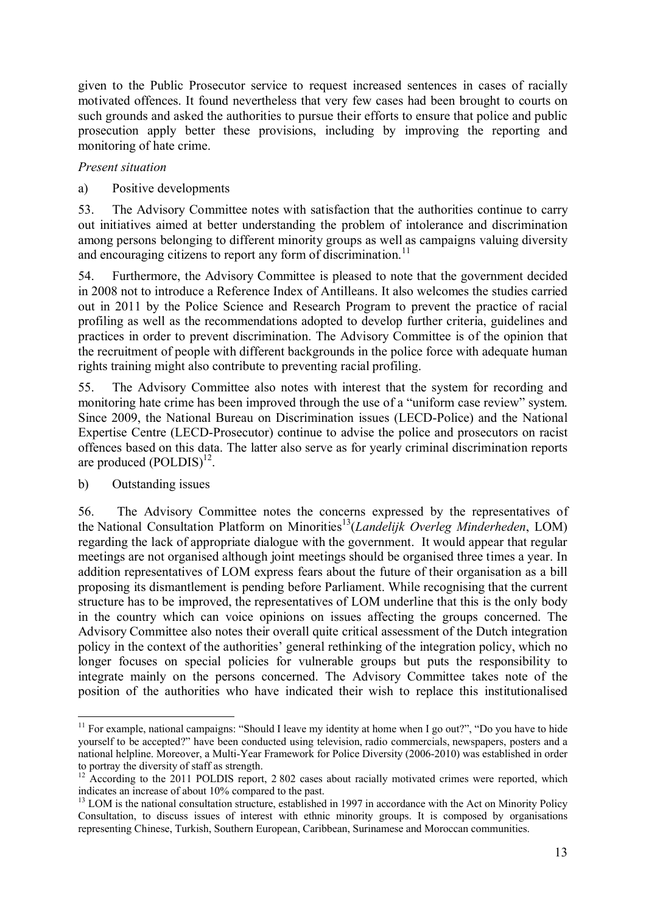given to the Public Prosecutor service to request increased sentences in cases of racially motivated offences. It found nevertheless that very few cases had been brought to courts on such grounds and asked the authorities to pursue their efforts to ensure that police and public prosecution apply better these provisions, including by improving the reporting and monitoring of hate crime.

## *Present situation*

# a) Positive developments

53. The Advisory Committee notes with satisfaction that the authorities continue to carry out initiatives aimed at better understanding the problem of intolerance and discrimination among persons belonging to different minority groups as well as campaigns valuing diversity and encouraging citizens to report any form of discrimination.<sup>[11](#page-12-0)</sup>

54. Furthermore, the Advisory Committee is pleased to note that the government decided in 2008 not to introduce a Reference Index of Antilleans. It also welcomes the studies carried out in 2011 by the Police Science and Research Program to prevent the practice of racial profiling as well as the recommendations adopted to develop further criteria, guidelines and practices in order to prevent discrimination. The Advisory Committee is of the opinion that the recruitment of people with different backgrounds in the police force with adequate human rights training might also contribute to preventing racial profiling.

55. The Advisory Committee also notes with interest that the system for recording and monitoring hate crime has been improved through the use of a "uniform case review" system. Since 2009, the National Bureau on Discrimination issues (LECD-Police) and the National Expertise Centre (LECD-Prosecutor) continue to advise the police and prosecutors on racist offences based on this data. The latter also serve as for yearly criminal discrimination reports are produced  $(POLDIS)^{12}$  $(POLDIS)^{12}$  $(POLDIS)^{12}$ .

## b) Outstanding issues

56. The Advisory Committee notes the concerns expressed by the representatives of the National Consultation Platform on Minorities<sup>[13](#page-12-2)</sup>(*Landelijk Overleg Minderheden*, LOM) regarding the lack of appropriate dialogue with the government. It would appear that regular meetings are not organised although joint meetings should be organised three times a year. In addition representatives of LOM express fears about the future of their organisation as a bill proposing its dismantlement is pending before Parliament. While recognising that the current structure has to be improved, the representatives of LOM underline that this is the only body in the country which can voice opinions on issues affecting the groups concerned. The Advisory Committee also notes their overall quite critical assessment of the Dutch integration policy in the context of the authorities' general rethinking of the integration policy, which no longer focuses on special policies for vulnerable groups but puts the responsibility to integrate mainly on the persons concerned. The Advisory Committee takes note of the position of the authorities who have indicated their wish to replace this institutionalised

<span id="page-12-0"></span><sup>&</sup>lt;u>.</u> <sup>11</sup> For example, national campaigns: "Should I leave my identity at home when I go out?", "Do you have to hide yourself to be accepted?" have been conducted using television, radio commercials, newspapers, posters and a national helpline. Moreover, a Multi-Year Framework for Police Diversity (2006-2010) was established in order to portray the diversity of staff as strength.

<span id="page-12-1"></span>According to the 2011 POLDIS report, 2 802 cases about racially motivated crimes were reported, which indicates an increase of about 10% compared to the past.

<span id="page-12-2"></span><sup>&</sup>lt;sup>13</sup> LOM is the national consultation structure, established in 1997 in accordance with the Act on Minority Policy Consultation, to discuss issues of interest with ethnic minority groups. It is composed by organisations representing Chinese, Turkish, Southern European, Caribbean, Surinamese and Moroccan communities.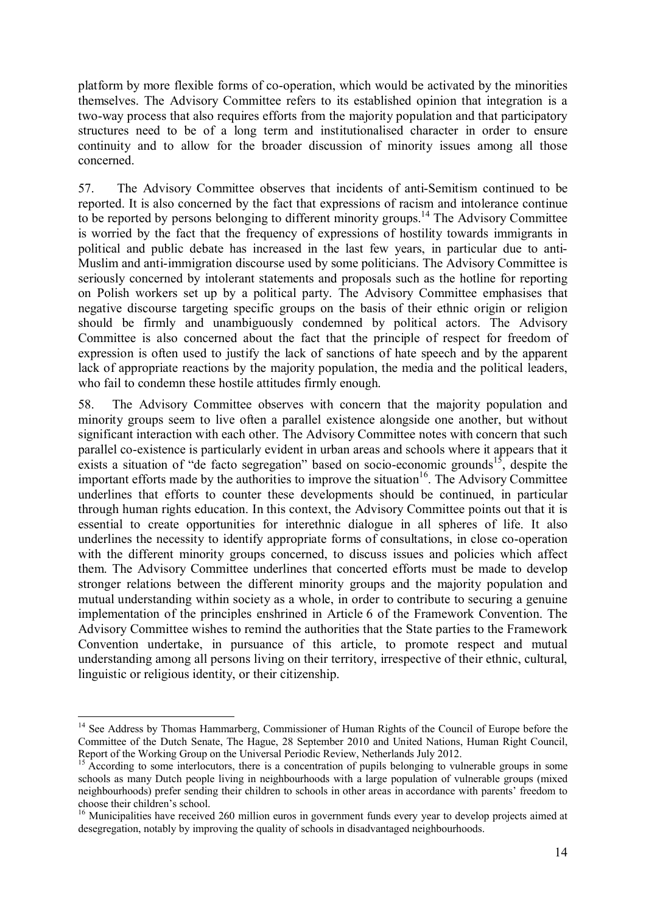platform by more flexible forms of co-operation, which would be activated by the minorities themselves. The Advisory Committee refers to its established opinion that integration is a two-way process that also requires efforts from the majority population and that participatory structures need to be of a long term and institutionalised character in order to ensure continuity and to allow for the broader discussion of minority issues among all those concerned.

57. The Advisory Committee observes that incidents of anti-Semitism continued to be reported. It is also concerned by the fact that expressions of racism and intolerance continue to be reported by persons belonging to different minority groups.<sup>[14](#page-13-0)</sup> The Advisory Committee is worried by the fact that the frequency of expressions of hostility towards immigrants in political and public debate has increased in the last few years, in particular due to anti-Muslim and anti-immigration discourse used by some politicians. The Advisory Committee is seriously concerned by intolerant statements and proposals such as the hotline for reporting on Polish workers set up by a political party. The Advisory Committee emphasises that negative discourse targeting specific groups on the basis of their ethnic origin or religion should be firmly and unambiguously condemned by political actors. The Advisory Committee is also concerned about the fact that the principle of respect for freedom of expression is often used to justify the lack of sanctions of hate speech and by the apparent lack of appropriate reactions by the majority population, the media and the political leaders, who fail to condemn these hostile attitudes firmly enough.

58. The Advisory Committee observes with concern that the majority population and minority groups seem to live often a parallel existence alongside one another, but without significant interaction with each other. The Advisory Committee notes with concern that such parallel co-existence is particularly evident in urban areas and schools where it appears that it exists a situation of "de facto segregation" based on socio-economic grounds<sup>[15](#page-13-1)</sup>, despite the important efforts made by the authorities to improve the situation<sup>[16](#page-13-2)</sup>. The Advisory Committee underlines that efforts to counter these developments should be continued, in particular through human rights education. In this context, the Advisory Committee points out that it is essential to create opportunities for interethnic dialogue in all spheres of life. It also underlines the necessity to identify appropriate forms of consultations, in close co-operation with the different minority groups concerned, to discuss issues and policies which affect them. The Advisory Committee underlines that concerted efforts must be made to develop stronger relations between the different minority groups and the majority population and mutual understanding within society as a whole, in order to contribute to securing a genuine implementation of the principles enshrined in Article 6 of the Framework Convention. The Advisory Committee wishes to remind the authorities that the State parties to the Framework Convention undertake, in pursuance of this article, to promote respect and mutual understanding among all persons living on their territory, irrespective of their ethnic, cultural, linguistic or religious identity, or their citizenship.

<u>.</u>

<span id="page-13-0"></span><sup>&</sup>lt;sup>14</sup> See Address by Thomas Hammarberg, Commissioner of Human Rights of the Council of Europe before the Committee of the Dutch Senate, The Hague, 28 September 2010 and United Nations, Human Right Council, Report of the Working Group on the Universal Periodic Review, Netherlands July 2012.

<span id="page-13-1"></span><sup>&</sup>lt;sup>15</sup> According to some interlocutors, there is a concentration of pupils belonging to vulnerable groups in some schools as many Dutch people living in neighbourhoods with a large population of vulnerable groups (mixed neighbourhoods) prefer sending their children to schools in other areas in accordance with parents' freedom to choose their children's school.

<span id="page-13-2"></span><sup>&</sup>lt;sup>16</sup> Municipalities have received 260 million euros in government funds every year to develop projects aimed at desegregation, notably by improving the quality of schools in disadvantaged neighbourhoods.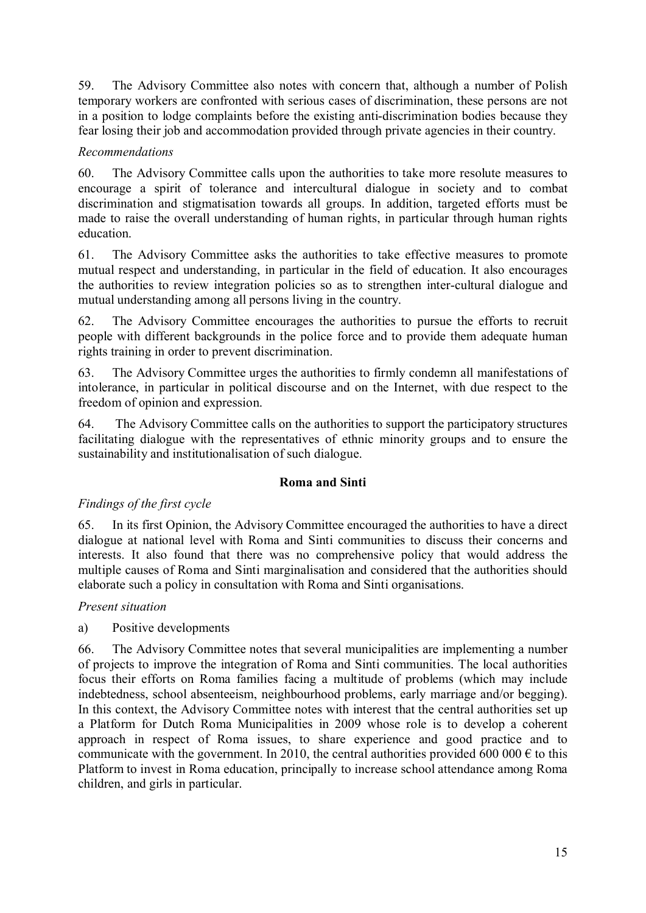59. The Advisory Committee also notes with concern that, although a number of Polish temporary workers are confronted with serious cases of discrimination, these persons are not in a position to lodge complaints before the existing anti-discrimination bodies because they fear losing their job and accommodation provided through private agencies in their country.

## *Recommendations*

60. The Advisory Committee calls upon the authorities to take more resolute measures to encourage a spirit of tolerance and intercultural dialogue in society and to combat discrimination and stigmatisation towards all groups. In addition, targeted efforts must be made to raise the overall understanding of human rights, in particular through human rights education.

61. The Advisory Committee asks the authorities to take effective measures to promote mutual respect and understanding, in particular in the field of education. It also encourages the authorities to review integration policies so as to strengthen inter-cultural dialogue and mutual understanding among all persons living in the country.

62. The Advisory Committee encourages the authorities to pursue the efforts to recruit people with different backgrounds in the police force and to provide them adequate human rights training in order to prevent discrimination.

63. The Advisory Committee urges the authorities to firmly condemn all manifestations of intolerance, in particular in political discourse and on the Internet, with due respect to the freedom of opinion and expression.

64. The Advisory Committee calls on the authorities to support the participatory structures facilitating dialogue with the representatives of ethnic minority groups and to ensure the sustainability and institutionalisation of such dialogue.

## **Roma and Sinti**

## <span id="page-14-0"></span>*Findings of the first cycle*

65. In its first Opinion, the Advisory Committee encouraged the authorities to have a direct dialogue at national level with Roma and Sinti communities to discuss their concerns and interests. It also found that there was no comprehensive policy that would address the multiple causes of Roma and Sinti marginalisation and considered that the authorities should elaborate such a policy in consultation with Roma and Sinti organisations.

## *Present situation*

a) Positive developments

66. The Advisory Committee notes that several municipalities are implementing a number of projects to improve the integration of Roma and Sinti communities. The local authorities focus their efforts on Roma families facing a multitude of problems (which may include indebtedness, school absenteeism, neighbourhood problems, early marriage and/or begging). In this context, the Advisory Committee notes with interest that the central authorities set up a Platform for Dutch Roma Municipalities in 2009 whose role is to develop a coherent approach in respect of Roma issues, to share experience and good practice and to communicate with the government. In 2010, the central authorities provided 600 000  $\epsilon$  to this Platform to invest in Roma education, principally to increase school attendance among Roma children, and girls in particular.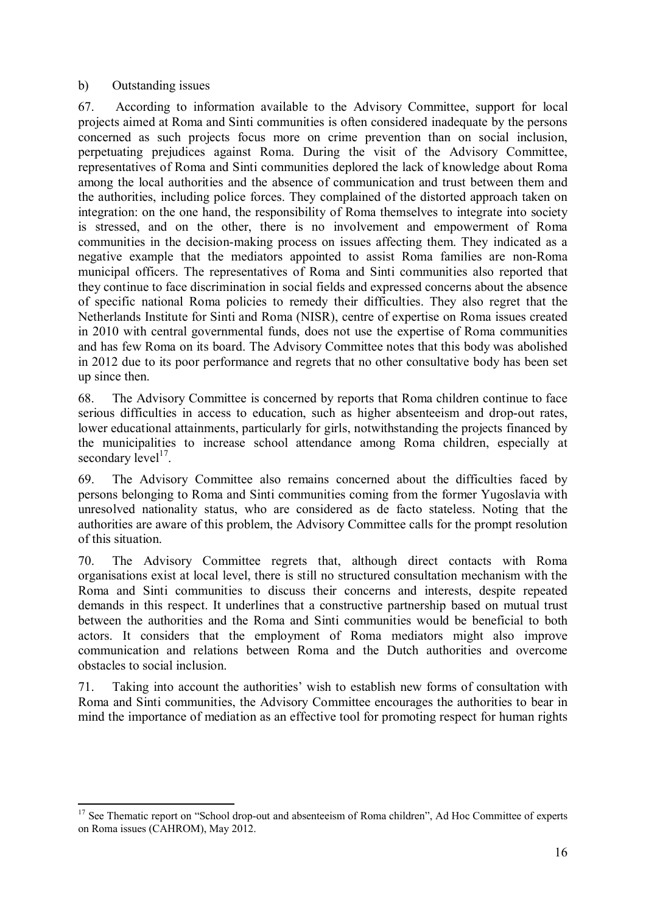#### b) Outstanding issues

67. According to information available to the Advisory Committee, support for local projects aimed at Roma and Sinti communities is often considered inadequate by the persons concerned as such projects focus more on crime prevention than on social inclusion, perpetuating prejudices against Roma. During the visit of the Advisory Committee, representatives of Roma and Sinti communities deplored the lack of knowledge about Roma among the local authorities and the absence of communication and trust between them and the authorities, including police forces. They complained of the distorted approach taken on integration: on the one hand, the responsibility of Roma themselves to integrate into society is stressed, and on the other, there is no involvement and empowerment of Roma communities in the decision-making process on issues affecting them. They indicated as a negative example that the mediators appointed to assist Roma families are non-Roma municipal officers. The representatives of Roma and Sinti communities also reported that they continue to face discrimination in social fields and expressed concerns about the absence of specific national Roma policies to remedy their difficulties. They also regret that the Netherlands Institute for Sinti and Roma (NISR), centre of expertise on Roma issues created in 2010 with central governmental funds, does not use the expertise of Roma communities and has few Roma on its board. The Advisory Committee notes that this body was abolished in 2012 due to its poor performance and regrets that no other consultative body has been set up since then.

68. The Advisory Committee is concerned by reports that Roma children continue to face serious difficulties in access to education, such as higher absenteeism and drop-out rates, lower educational attainments, particularly for girls, notwithstanding the projects financed by the municipalities to increase school attendance among Roma children, especially at secondary  $level<sup>17</sup>$  $level<sup>17</sup>$  $level<sup>17</sup>$ .

69. The Advisory Committee also remains concerned about the difficulties faced by persons belonging to Roma and Sinti communities coming from the former Yugoslavia with unresolved nationality status, who are considered as de facto stateless. Noting that the authorities are aware of this problem, the Advisory Committee calls for the prompt resolution of this situation.

70. The Advisory Committee regrets that, although direct contacts with Roma organisations exist at local level, there is still no structured consultation mechanism with the Roma and Sinti communities to discuss their concerns and interests, despite repeated demands in this respect. It underlines that a constructive partnership based on mutual trust between the authorities and the Roma and Sinti communities would be beneficial to both actors. It considers that the employment of Roma mediators might also improve communication and relations between Roma and the Dutch authorities and overcome obstacles to social inclusion.

71. Taking into account the authorities' wish to establish new forms of consultation with Roma and Sinti communities, the Advisory Committee encourages the authorities to bear in mind the importance of mediation as an effective tool for promoting respect for human rights

<span id="page-15-0"></span> $\overline{a}$ <sup>17</sup> See Thematic report on "School drop-out and absenteeism of Roma children", Ad Hoc Committee of experts on Roma issues (CAHROM), May 2012.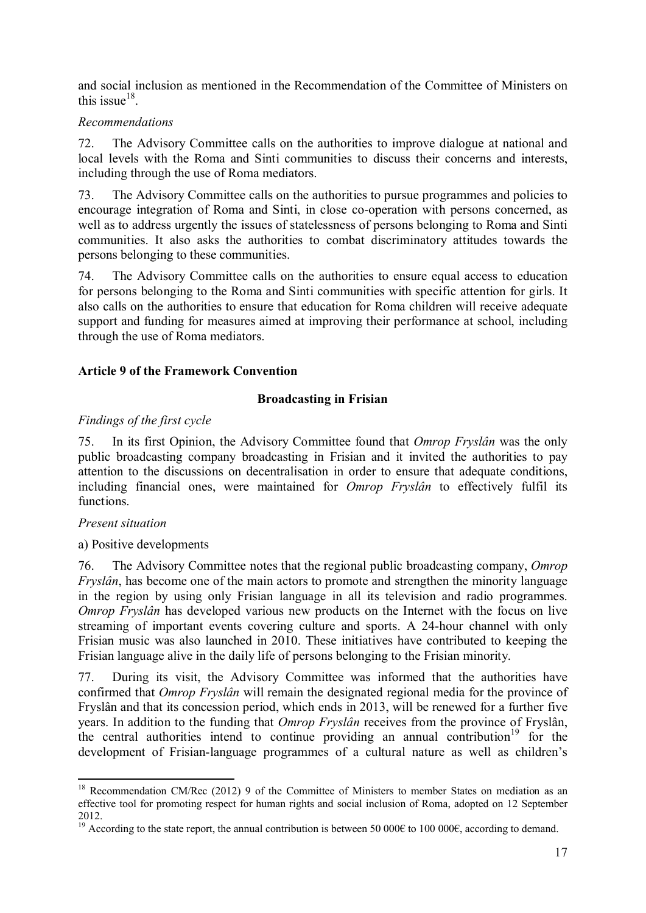and social inclusion as mentioned in the Recommendation of the Committee of Ministers on this issue<sup>[18](#page-16-2)</sup>.

## *Recommendations*

72. The Advisory Committee calls on the authorities to improve dialogue at national and local levels with the Roma and Sinti communities to discuss their concerns and interests, including through the use of Roma mediators.

73. The Advisory Committee calls on the authorities to pursue programmes and policies to encourage integration of Roma and Sinti, in close co-operation with persons concerned, as well as to address urgently the issues of statelessness of persons belonging to Roma and Sinti communities. It also asks the authorities to combat discriminatory attitudes towards the persons belonging to these communities.

74. The Advisory Committee calls on the authorities to ensure equal access to education for persons belonging to the Roma and Sinti communities with specific attention for girls. It also calls on the authorities to ensure that education for Roma children will receive adequate support and funding for measures aimed at improving their performance at school, including through the use of Roma mediators.

#### <span id="page-16-1"></span><span id="page-16-0"></span>**Article 9 of the Framework Convention**

#### **Broadcasting in Frisian**

#### *Findings of the first cycle*

75. In its first Opinion, the Advisory Committee found that *Omrop Fryslân* was the only public broadcasting company broadcasting in Frisian and it invited the authorities to pay attention to the discussions on decentralisation in order to ensure that adequate conditions, including financial ones, were maintained for *Omrop Fryslân* to effectively fulfil its functions.

#### *Present situation*

<u>.</u>

a) Positive developments

76. The Advisory Committee notes that the regional public broadcasting company, *Omrop Fryslân*, has become one of the main actors to promote and strengthen the minority language in the region by using only Frisian language in all its television and radio programmes. *Omrop Fryslân* has developed various new products on the Internet with the focus on live streaming of important events covering culture and sports. A 24-hour channel with only Frisian music was also launched in 2010. These initiatives have contributed to keeping the Frisian language alive in the daily life of persons belonging to the Frisian minority.

77. During its visit, the Advisory Committee was informed that the authorities have confirmed that *Omrop Fryslân* will remain the designated regional media for the province of Fryslân and that its concession period, which ends in 2013, will be renewed for a further five years. In addition to the funding that *Omrop Fryslân* receives from the province of Fryslân, the central authorities intend to continue providing an annual contribution<sup>[19](#page-16-3)</sup> for the development of Frisian-language programmes of a cultural nature as well as children's

<span id="page-16-2"></span><sup>&</sup>lt;sup>18</sup> Recommendation CM/Rec (2012) 9 of the Committee of Ministers to member States on mediation as an effective tool for promoting respect for human rights and social inclusion of Roma, adopted on 12 September 2012.

<span id="page-16-3"></span><sup>&</sup>lt;sup>19</sup> According to the state report, the annual contribution is between 50 000€ to 100 000€, according to demand.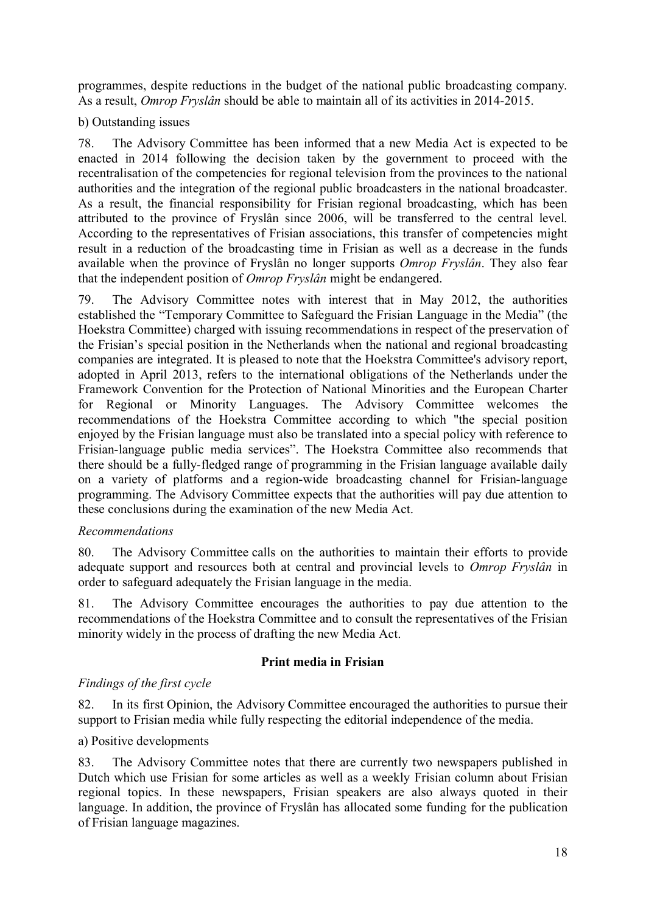programmes, despite reductions in the budget of the national public broadcasting company. As a result, *Omrop Fryslân* should be able to maintain all of its activities in 2014-2015.

b) Outstanding issues

78. The Advisory Committee has been informed that a new Media Act is expected to be enacted in 2014 following the decision taken by the government to proceed with the recentralisation of the competencies for regional television from the provinces to the national authorities and the integration of the regional public broadcasters in the national broadcaster. As a result, the financial responsibility for Frisian regional broadcasting, which has been attributed to the province of Fryslân since 2006, will be transferred to the central level. According to the representatives of Frisian associations, this transfer of competencies might result in a reduction of the broadcasting time in Frisian as well as a decrease in the funds available when the province of Fryslân no longer supports *Omrop Fryslân*. They also fear that the independent position of *Omrop Fryslân* might be endangered.

79. The Advisory Committee notes with interest that in May 2012, the authorities established the "Temporary Committee to Safeguard the Frisian Language in the Media" (the Hoekstra Committee) charged with issuing recommendations in respect of the preservation of the Frisian's special position in the Netherlands when the national and regional broadcasting companies are integrated. It is pleased to note that the Hoekstra Committee's advisory report, adopted in April 2013, refers to the international obligations of the Netherlands under the Framework Convention for the Protection of National Minorities and the European Charter for Regional or Minority Languages. The Advisory Committee welcomes the recommendations of the Hoekstra Committee according to which "the special position enjoyed by the Frisian language must also be translated into a special policy with reference to Frisian-language public media services". The Hoekstra Committee also recommends that there should be a fully-fledged range of programming in the Frisian language available daily on a variety of platforms and a region-wide broadcasting channel for Frisian-language programming. The Advisory Committee expects that the authorities will pay due attention to these conclusions during the examination of the new Media Act.

## *Recommendations*

80. The Advisory Committee calls on the authorities to maintain their efforts to provide adequate support and resources both at central and provincial levels to *Omrop Fryslân* in order to safeguard adequately the Frisian language in the media.

81. The Advisory Committee encourages the authorities to pay due attention to the recommendations of the Hoekstra Committee and to consult the representatives of the Frisian minority widely in the process of drafting the new Media Act.

## **Print media in Frisian**

## <span id="page-17-0"></span>*Findings of the first cycle*

82. In its first Opinion, the Advisory Committee encouraged the authorities to pursue their support to Frisian media while fully respecting the editorial independence of the media.

a) Positive developments

83. The Advisory Committee notes that there are currently two newspapers published in Dutch which use Frisian for some articles as well as a weekly Frisian column about Frisian regional topics. In these newspapers, Frisian speakers are also always quoted in their language. In addition, the province of Fryslân has allocated some funding for the publication of Frisian language magazines.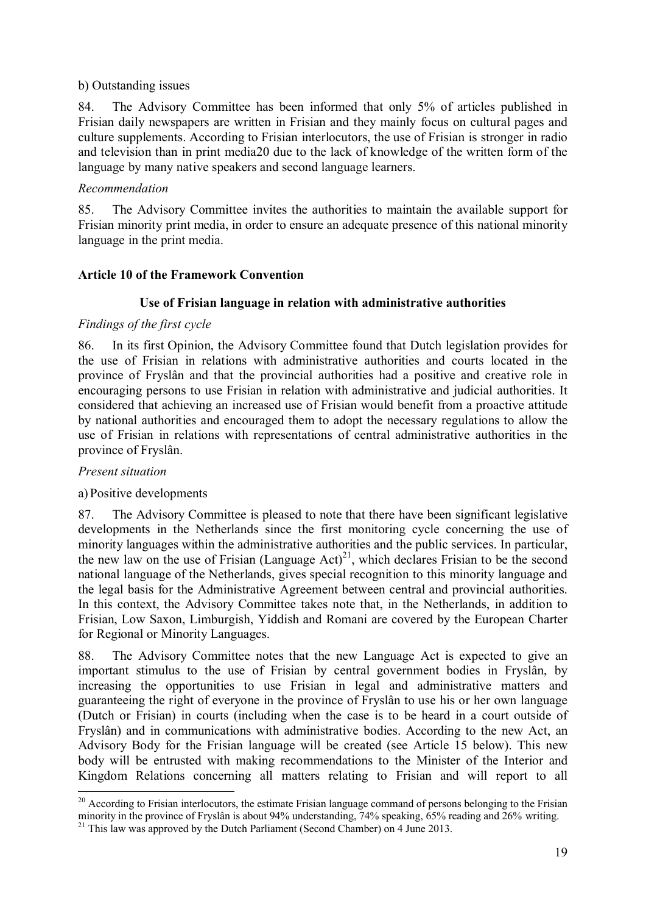#### b) Outstanding issues

84. The Advisory Committee has been informed that only 5% of articles published in Frisian daily newspapers are written in Frisian and they mainly focus on cultural pages and culture supplements. According to Frisian interlocutors, the use of Frisian is stronger in radio and television than in print medi[a20](#page-18-2) due to the lack of knowledge of the written form of the language by many native speakers and second language learners.

#### *Recommendation*

85. The Advisory Committee invites the authorities to maintain the available support for Frisian minority print media, in order to ensure an adequate presence of this national minority language in the print media.

## <span id="page-18-1"></span><span id="page-18-0"></span>**Article 10 of the Framework Convention**

# **Use of Frisian language in relation with administrative authorities**

## *Findings of the first cycle*

86. In its first Opinion, the Advisory Committee found that Dutch legislation provides for the use of Frisian in relations with administrative authorities and courts located in the province of Fryslân and that the provincial authorities had a positive and creative role in encouraging persons to use Frisian in relation with administrative and judicial authorities. It considered that achieving an increased use of Frisian would benefit from a proactive attitude by national authorities and encouraged them to adopt the necessary regulations to allow the use of Frisian in relations with representations of central administrative authorities in the province of Fryslân.

## *Present situation*

## a) Positive developments

87. The Advisory Committee is pleased to note that there have been significant legislative developments in the Netherlands since the first monitoring cycle concerning the use of minority languages within the administrative authorities and the public services. In particular, the new law on the use of Frisian (Language  $Act)^{21}$  $Act)^{21}$  $Act)^{21}$ , which declares Frisian to be the second national language of the Netherlands, gives special recognition to this minority language and the legal basis for the Administrative Agreement between central and provincial authorities. In this context, the Advisory Committee takes note that, in the Netherlands, in addition to Frisian, Low Saxon, Limburgish, Yiddish and Romani are covered by the European Charter for Regional or Minority Languages.

88. The Advisory Committee notes that the new Language Act is expected to give an important stimulus to the use of Frisian by central government bodies in Fryslân, by increasing the opportunities to use Frisian in legal and administrative matters and guaranteeing the right of everyone in the province of Fryslân to use his or her own language (Dutch or Frisian) in courts (including when the case is to be heard in a court outside of Fryslân) and in communications with administrative bodies. According to the new Act, an Advisory Body for the Frisian language will be created (see Article 15 below). This new body will be entrusted with making recommendations to the Minister of the Interior and Kingdom Relations concerning all matters relating to Frisian and will report to all

<span id="page-18-2"></span>**<sup>.</sup>** <sup>20</sup> According to Frisian interlocutors, the estimate Frisian language command of persons belonging to the Frisian minority in the province of Fryslân is about 94% understanding, 74% speaking, 65% reading and 26% writing.

<span id="page-18-3"></span> $21$  This law was approved by the Dutch Parliament (Second Chamber) on 4 June 2013.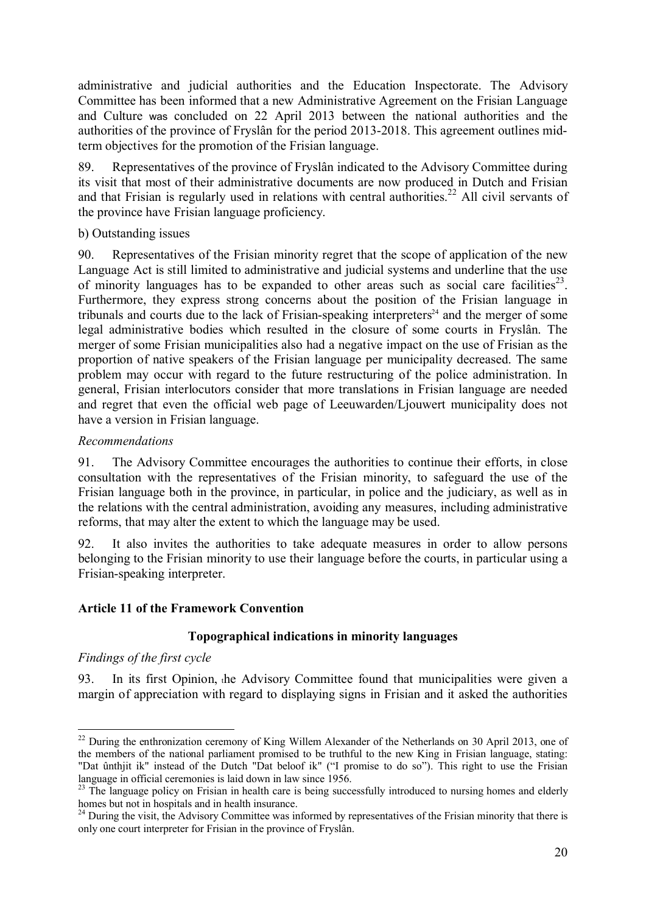administrative and judicial authorities and the Education Inspectorate. The Advisory Committee has been informed that a new Administrative Agreement on the Frisian Language and Culture was concluded on 22 April 2013 between the national authorities and the authorities of the province of Fryslân for the period 2013-2018. This agreement outlines midterm objectives for the promotion of the Frisian language.

89. Representatives of the province of Fryslân indicated to the Advisory Committee during its visit that most of their administrative documents are now produced in Dutch and Frisian and that Frisian is regularly used in relations with central authorities.<sup>[22](#page-19-2)</sup> All civil servants of the province have Frisian language proficiency.

b) Outstanding issues

90. Representatives of the Frisian minority regret that the scope of application of the new Language Act is still limited to administrative and judicial systems and underline that the use of minority languages has to be expanded to other areas such as social care facilities<sup>[23](#page-19-3)</sup>. Furthermore, they express strong concerns about the position of the Frisian language in tribunals and courts due to the lack of Frisian-speaking interpreters<sup>[24](#page-19-4)</sup> and the merger of some legal administrative bodies which resulted in the closure of some courts in Fryslân. The merger of some Frisian municipalities also had a negative impact on the use of Frisian as the proportion of native speakers of the Frisian language per municipality decreased. The same problem may occur with regard to the future restructuring of the police administration. In general, Frisian interlocutors consider that more translations in Frisian language are needed and regret that even the official web page of Leeuwarden/Ljouwert municipality does not have a version in Frisian language.

## *Recommendations*

91. The Advisory Committee encourages the authorities to continue their efforts, in close consultation with the representatives of the Frisian minority, to safeguard the use of the Frisian language both in the province, in particular, in police and the judiciary, as well as in the relations with the central administration, avoiding any measures, including administrative reforms, that may alter the extent to which the language may be used.

92. It also invites the authorities to take adequate measures in order to allow persons belonging to the Frisian minority to use their language before the courts, in particular using a Frisian-speaking interpreter.

## <span id="page-19-1"></span><span id="page-19-0"></span>**Article 11 of the Framework Convention**

# **Topographical indications in minority languages**

## *Findings of the first cycle*

93. In its first Opinion, <sup>t</sup>he Advisory Committee found that municipalities were given a margin of appreciation with regard to displaying signs in Frisian and it asked the authorities

<span id="page-19-2"></span>**<sup>.</sup>** <sup>22</sup> During the enthronization ceremony of King Willem Alexander of the Netherlands on 30 April 2013, one of the members of the national parliament promised to be truthful to the new King in Frisian language, stating: "Dat ûnthjit ik" instead of the Dutch "Dat beloof ik" ("I promise to do so"). This right to use the Frisian language in official ceremonies is laid down in law since 1956.

<span id="page-19-3"></span><sup>&</sup>lt;sup>23</sup> The language policy on Frisian in health care is being successfully introduced to nursing homes and elderly homes but not in hospitals and in health insurance.

<span id="page-19-4"></span><sup>&</sup>lt;sup>24</sup> During the visit, the Advisory Committee was informed by representatives of the Frisian minority that there is only one court interpreter for Frisian in the province of Fryslân.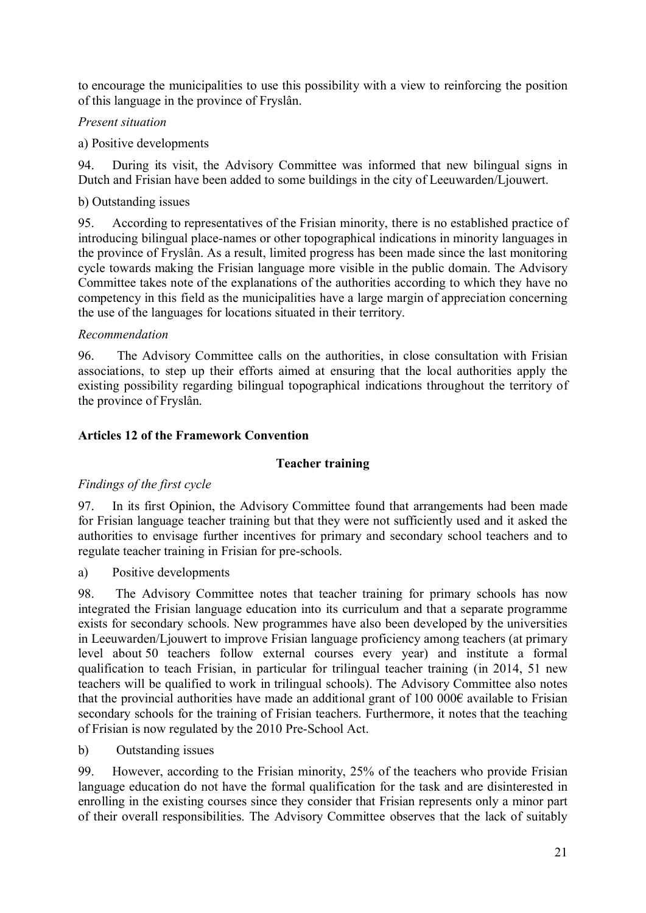to encourage the municipalities to use this possibility with a view to reinforcing the position of this language in the province of Fryslân.

## *Present situation*

a) Positive developments

94. During its visit, the Advisory Committee was informed that new bilingual signs in Dutch and Frisian have been added to some buildings in the city of Leeuwarden/Ljouwert.

b) Outstanding issues

95. According to representatives of the Frisian minority, there is no established practice of introducing bilingual place-names or other topographical indications in minority languages in the province of Fryslân. As a result, limited progress has been made since the last monitoring cycle towards making the Frisian language more visible in the public domain. The Advisory Committee takes note of the explanations of the authorities according to which they have no competency in this field as the municipalities have a large margin of appreciation concerning the use of the languages for locations situated in their territory.

# *Recommendation*

96. The Advisory Committee calls on the authorities, in close consultation with Frisian associations, to step up their efforts aimed at ensuring that the local authorities apply the existing possibility regarding bilingual topographical indications throughout the territory of the province of Fryslân.

# <span id="page-20-1"></span><span id="page-20-0"></span>**Articles 12 of the Framework Convention**

## **Teacher training**

# *Findings of the first cycle*

97. In its first Opinion, the Advisory Committee found that arrangements had been made for Frisian language teacher training but that they were not sufficiently used and it asked the authorities to envisage further incentives for primary and secondary school teachers and to regulate teacher training in Frisian for pre-schools.

a) Positive developments

98. The Advisory Committee notes that teacher training for primary schools has now integrated the Frisian language education into its curriculum and that a separate programme exists for secondary schools. New programmes have also been developed by the universities in Leeuwarden/Ljouwert to improve Frisian language proficiency among teachers (at primary level about 50 teachers follow external courses every year) and institute a formal qualification to teach Frisian, in particular for trilingual teacher training (in 2014, 51 new teachers will be qualified to work in trilingual schools). The Advisory Committee also notes that the provincial authorities have made an additional grant of 100 000 $\epsilon$  available to Frisian secondary schools for the training of Frisian teachers. Furthermore, it notes that the teaching of Frisian is now regulated by the 2010 Pre-School Act.

b) Outstanding issues

99. However, according to the Frisian minority, 25% of the teachers who provide Frisian language education do not have the formal qualification for the task and are disinterested in enrolling in the existing courses since they consider that Frisian represents only a minor part of their overall responsibilities. The Advisory Committee observes that the lack of suitably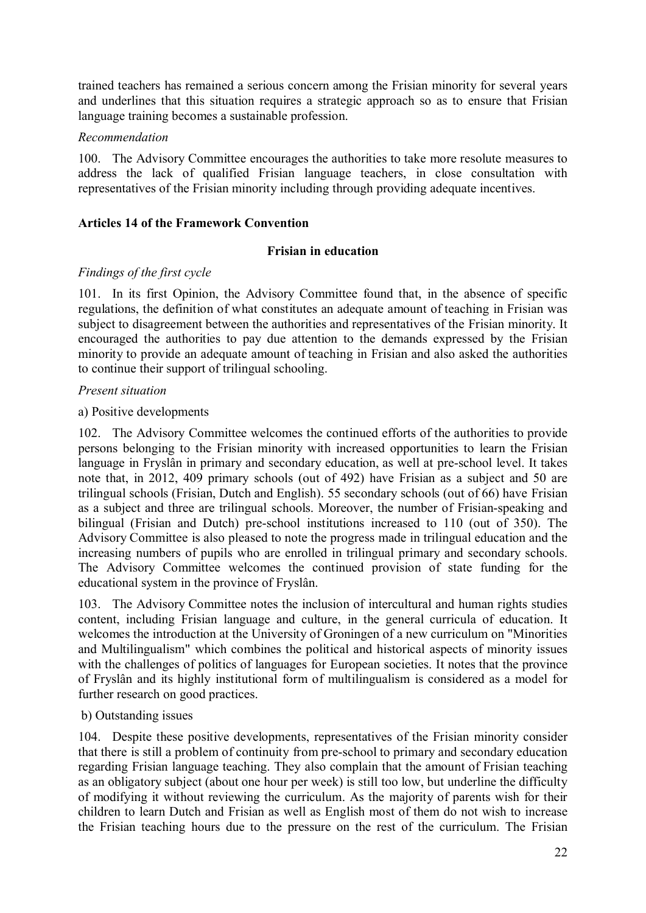trained teachers has remained a serious concern among the Frisian minority for several years and underlines that this situation requires a strategic approach so as to ensure that Frisian language training becomes a sustainable profession.

#### *Recommendation*

100. The Advisory Committee encourages the authorities to take more resolute measures to address the lack of qualified Frisian language teachers, in close consultation with representatives of the Frisian minority including through providing adequate incentives.

## <span id="page-21-1"></span><span id="page-21-0"></span>**Articles 14 of the Framework Convention**

#### **Frisian in education**

## *Findings of the first cycle*

101. In its first Opinion, the Advisory Committee found that, in the absence of specific regulations, the definition of what constitutes an adequate amount of teaching in Frisian was subject to disagreement between the authorities and representatives of the Frisian minority. It encouraged the authorities to pay due attention to the demands expressed by the Frisian minority to provide an adequate amount of teaching in Frisian and also asked the authorities to continue their support of trilingual schooling.

#### *Present situation*

#### a) Positive developments

102. The Advisory Committee welcomes the continued efforts of the authorities to provide persons belonging to the Frisian minority with increased opportunities to learn the Frisian language in Fryslân in primary and secondary education, as well at pre-school level. It takes note that, in 2012, 409 primary schools (out of 492) have Frisian as a subject and 50 are trilingual schools (Frisian, Dutch and English). 55 secondary schools (out of 66) have Frisian as a subject and three are trilingual schools. Moreover, the number of Frisian-speaking and bilingual (Frisian and Dutch) pre-school institutions increased to 110 (out of 350). The Advisory Committee is also pleased to note the progress made in trilingual education and the increasing numbers of pupils who are enrolled in trilingual primary and secondary schools. The Advisory Committee welcomes the continued provision of state funding for the educational system in the province of Fryslân.

103. The Advisory Committee notes the inclusion of intercultural and human rights studies content, including Frisian language and culture, in the general curricula of education. It welcomes the introduction at the University of Groningen of a new curriculum on "Minorities and Multilingualism" which combines the political and historical aspects of minority issues with the challenges of politics of languages for European societies. It notes that the province of Fryslân and its highly institutional form of multilingualism is considered as a model for further research on good practices.

#### b) Outstanding issues

104. Despite these positive developments, representatives of the Frisian minority consider that there is still a problem of continuity from pre-school to primary and secondary education regarding Frisian language teaching. They also complain that the amount of Frisian teaching as an obligatory subject (about one hour per week) is still too low, but underline the difficulty of modifying it without reviewing the curriculum. As the majority of parents wish for their children to learn Dutch and Frisian as well as English most of them do not wish to increase the Frisian teaching hours due to the pressure on the rest of the curriculum. The Frisian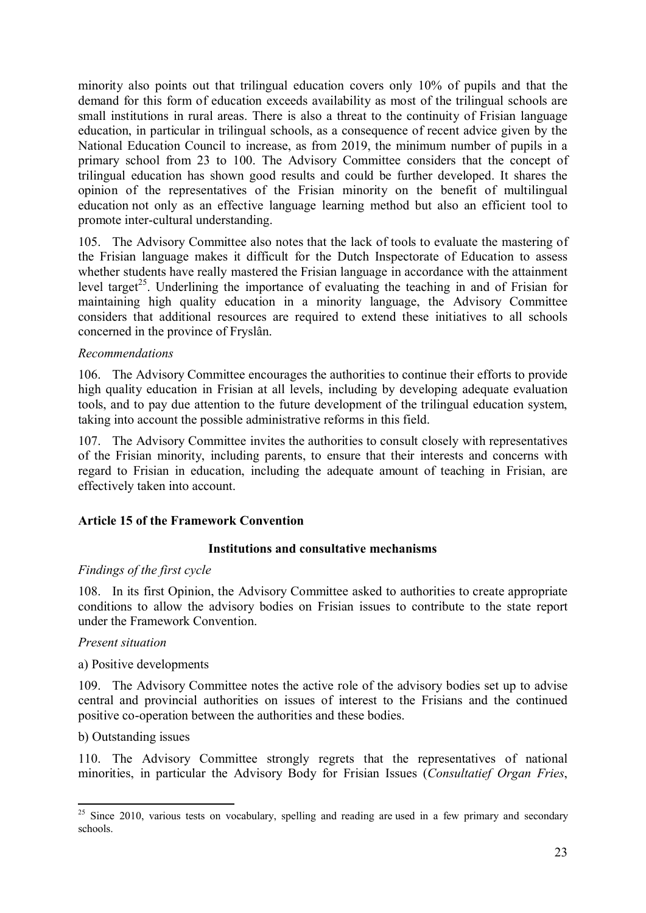minority also points out that trilingual education covers only 10% of pupils and that the demand for this form of education exceeds availability as most of the trilingual schools are small institutions in rural areas. There is also a threat to the continuity of Frisian language education, in particular in trilingual schools, as a consequence of recent advice given by the National Education Council to increase, as from 2019, the minimum number of pupils in a primary school from 23 to 100. The Advisory Committee considers that the concept of trilingual education has shown good results and could be further developed. It shares the opinion of the representatives of the Frisian minority on the benefit of multilingual education not only as an effective language learning method but also an efficient tool to promote inter-cultural understanding.

105. The Advisory Committee also notes that the lack of tools to evaluate the mastering of the Frisian language makes it difficult for the Dutch Inspectorate of Education to assess whether students have really mastered the Frisian language in accordance with the attainment level target<sup>[25](#page-22-2)</sup>. Underlining the importance of evaluating the teaching in and of Frisian for maintaining high quality education in a minority language, the Advisory Committee considers that additional resources are required to extend these initiatives to all schools concerned in the province of Fryslân.

#### *Recommendations*

106. The Advisory Committee encourages the authorities to continue their efforts to provide high quality education in Frisian at all levels, including by developing adequate evaluation tools, and to pay due attention to the future development of the trilingual education system, taking into account the possible administrative reforms in this field.

107. The Advisory Committee invites the authorities to consult closely with representatives of the Frisian minority, including parents, to ensure that their interests and concerns with regard to Frisian in education, including the adequate amount of teaching in Frisian, are effectively taken into account.

## <span id="page-22-1"></span><span id="page-22-0"></span>**Article 15 of the Framework Convention**

#### **Institutions and consultative mechanisms**

#### *Findings of the first cycle*

108. In its first Opinion, the Advisory Committee asked to authorities to create appropriate conditions to allow the advisory bodies on Frisian issues to contribute to the state report under the Framework Convention.

#### *Present situation*

#### a) Positive developments

109. The Advisory Committee notes the active role of the advisory bodies set up to advise central and provincial authorities on issues of interest to the Frisians and the continued positive co-operation between the authorities and these bodies.

#### b) Outstanding issues

110. The Advisory Committee strongly regrets that the representatives of national minorities, in particular the Advisory Body for Frisian Issues (*Consultatief Organ Fries*,

<span id="page-22-2"></span> $\overline{a}$  $25$  Since 2010, various tests on vocabulary, spelling and reading are used in a few primary and secondary schools.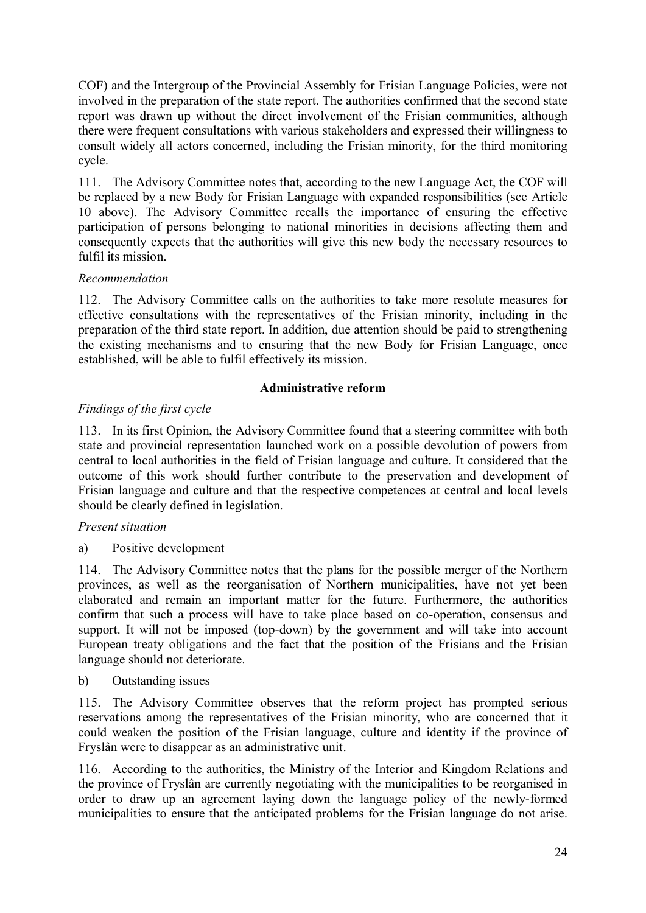COF) and the Intergroup of the Provincial Assembly for Frisian Language Policies, were not involved in the preparation of the state report. The authorities confirmed that the second state report was drawn up without the direct involvement of the Frisian communities, although there were frequent consultations with various stakeholders and expressed their willingness to consult widely all actors concerned, including the Frisian minority, for the third monitoring cycle.

111. The Advisory Committee notes that, according to the new Language Act, the COF will be replaced by a new Body for Frisian Language with expanded responsibilities (see Article 10 above). The Advisory Committee recalls the importance of ensuring the effective participation of persons belonging to national minorities in decisions affecting them and consequently expects that the authorities will give this new body the necessary resources to fulfil its mission.

# *Recommendation*

112. The Advisory Committee calls on the authorities to take more resolute measures for effective consultations with the representatives of the Frisian minority, including in the preparation of the third state report. In addition, due attention should be paid to strengthening the existing mechanisms and to ensuring that the new Body for Frisian Language, once established, will be able to fulfil effectively its mission.

# **Administrative reform**

# <span id="page-23-0"></span>*Findings of the first cycle*

113. In its first Opinion, the Advisory Committee found that a steering committee with both state and provincial representation launched work on a possible devolution of powers from central to local authorities in the field of Frisian language and culture. It considered that the outcome of this work should further contribute to the preservation and development of Frisian language and culture and that the respective competences at central and local levels should be clearly defined in legislation.

# *Present situation*

a) Positive development

114. The Advisory Committee notes that the plans for the possible merger of the Northern provinces, as well as the reorganisation of Northern municipalities, have not yet been elaborated and remain an important matter for the future. Furthermore, the authorities confirm that such a process will have to take place based on co-operation, consensus and support. It will not be imposed (top-down) by the government and will take into account European treaty obligations and the fact that the position of the Frisians and the Frisian language should not deteriorate.

## b) Outstanding issues

115. The Advisory Committee observes that the reform project has prompted serious reservations among the representatives of the Frisian minority, who are concerned that it could weaken the position of the Frisian language, culture and identity if the province of Fryslân were to disappear as an administrative unit.

116. According to the authorities, the Ministry of the Interior and Kingdom Relations and the province of Fryslân are currently negotiating with the municipalities to be reorganised in order to draw up an agreement laying down the language policy of the newly-formed municipalities to ensure that the anticipated problems for the Frisian language do not arise.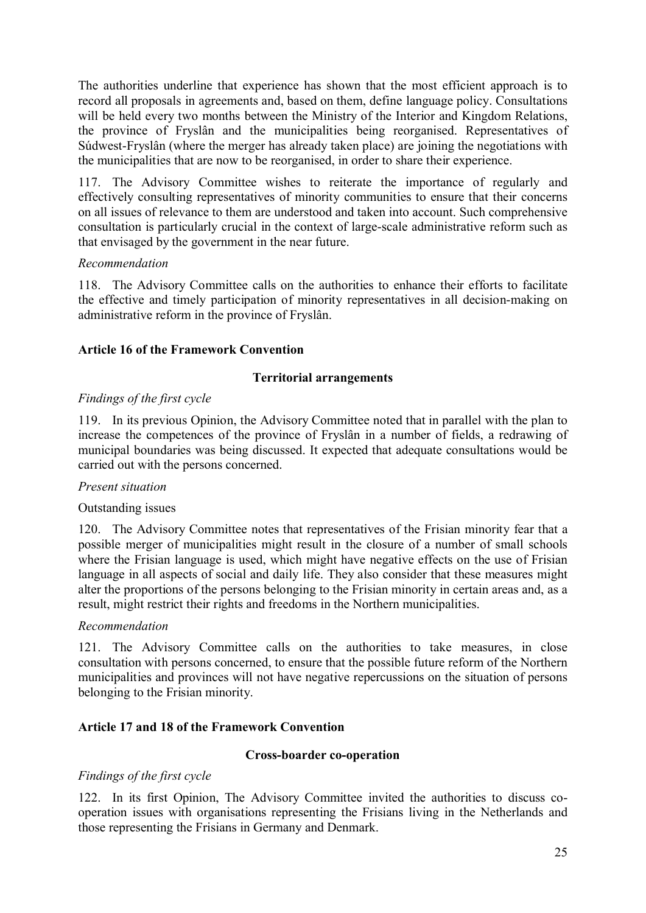The authorities underline that experience has shown that the most efficient approach is to record all proposals in agreements and, based on them, define language policy. Consultations will be held every two months between the Ministry of the Interior and Kingdom Relations, the province of Fryslân and the municipalities being reorganised. Representatives of Súdwest-Fryslân (where the merger has already taken place) are joining the negotiations with the municipalities that are now to be reorganised, in order to share their experience.

117. The Advisory Committee wishes to reiterate the importance of regularly and effectively consulting representatives of minority communities to ensure that their concerns on all issues of relevance to them are understood and taken into account. Such comprehensive consultation is particularly crucial in the context of large-scale administrative reform such as that envisaged by the government in the near future.

#### *Recommendation*

118. The Advisory Committee calls on the authorities to enhance their efforts to facilitate the effective and timely participation of minority representatives in all decision-making on administrative reform in the province of Fryslân.

## <span id="page-24-3"></span><span id="page-24-2"></span>**Article 16 of the Framework Convention**

#### **Territorial arrangements**

#### *Findings of the first cycle*

119. In its previous Opinion, the Advisory Committee noted that in parallel with the plan to increase the competences of the province of Fryslân in a number of fields, a redrawing of municipal boundaries was being discussed. It expected that adequate consultations would be carried out with the persons concerned.

#### *Present situation*

#### Outstanding issues

120. The Advisory Committee notes that representatives of the Frisian minority fear that a possible merger of municipalities might result in the closure of a number of small schools where the Frisian language is used, which might have negative effects on the use of Frisian language in all aspects of social and daily life. They also consider that these measures might alter the proportions of the persons belonging to the Frisian minority in certain areas and, as a result, might restrict their rights and freedoms in the Northern municipalities.

#### *Recommendation*

121. The Advisory Committee calls on the authorities to take measures, in close consultation with persons concerned, to ensure that the possible future reform of the Northern municipalities and provinces will not have negative repercussions on the situation of persons belonging to the Frisian minority.

#### <span id="page-24-1"></span><span id="page-24-0"></span>**Article 17 and 18 of the Framework Convention**

#### **Cross-boarder co-operation**

## *Findings of the first cycle*

122. In its first Opinion, The Advisory Committee invited the authorities to discuss cooperation issues with organisations representing the Frisians living in the Netherlands and those representing the Frisians in Germany and Denmark.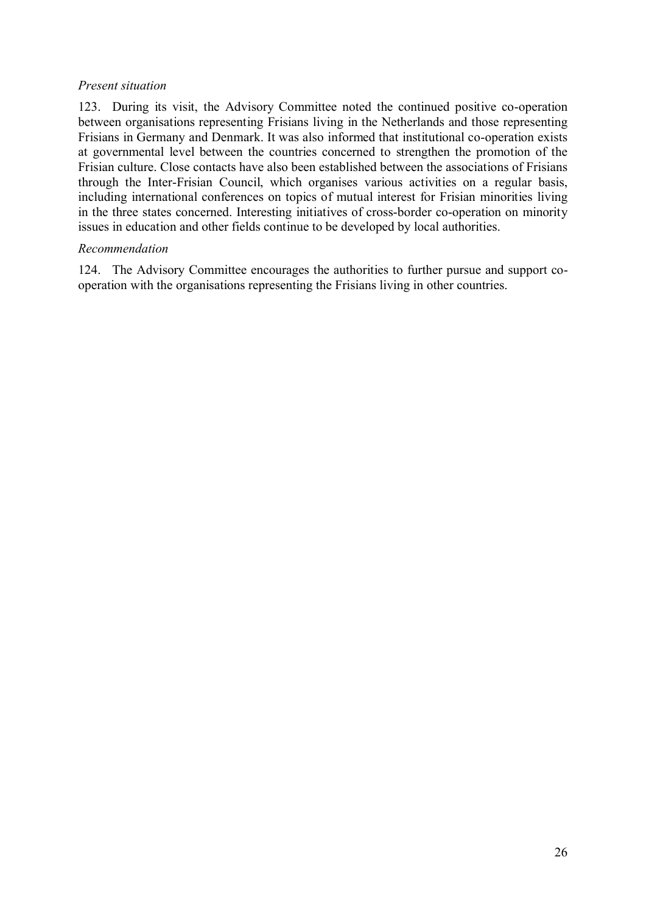#### *Present situation*

123. During its visit, the Advisory Committee noted the continued positive co-operation between organisations representing Frisians living in the Netherlands and those representing Frisians in Germany and Denmark. It was also informed that institutional co-operation exists at governmental level between the countries concerned to strengthen the promotion of the Frisian culture. Close contacts have also been established between the associations of Frisians through the Inter-Frisian Council, which organises various activities on a regular basis, including international conferences on topics of mutual interest for Frisian minorities living in the three states concerned. Interesting initiatives of cross-border co-operation on minority issues in education and other fields continue to be developed by local authorities.

#### *Recommendation*

124. The Advisory Committee encourages the authorities to further pursue and support cooperation with the organisations representing the Frisians living in other countries.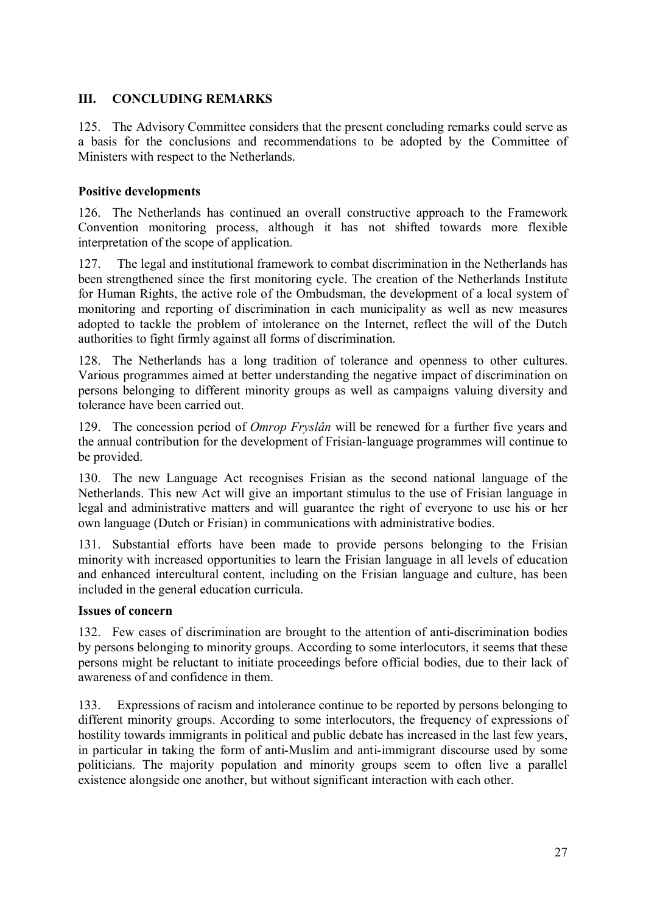# <span id="page-26-1"></span>**III. CONCLUDING REMARKS**

125. The Advisory Committee considers that the present concluding remarks could serve as a basis for the conclusions and recommendations to be adopted by the Committee of Ministers with respect to the Netherlands.

## <span id="page-26-0"></span>**Positive developments**

126. The Netherlands has continued an overall constructive approach to the Framework Convention monitoring process, although it has not shifted towards more flexible interpretation of the scope of application.

127. The legal and institutional framework to combat discrimination in the Netherlands has been strengthened since the first monitoring cycle. The creation of the Netherlands Institute for Human Rights, the active role of the Ombudsman, the development of a local system of monitoring and reporting of discrimination in each municipality as well as new measures adopted to tackle the problem of intolerance on the Internet, reflect the will of the Dutch authorities to fight firmly against all forms of discrimination.

128. The Netherlands has a long tradition of tolerance and openness to other cultures. Various programmes aimed at better understanding the negative impact of discrimination on persons belonging to different minority groups as well as campaigns valuing diversity and tolerance have been carried out.

129. The concession period of *Omrop Fryslân* will be renewed for a further five years and the annual contribution for the development of Frisian-language programmes will continue to be provided.

130. The new Language Act recognises Frisian as the second national language of the Netherlands. This new Act will give an important stimulus to the use of Frisian language in legal and administrative matters and will guarantee the right of everyone to use his or her own language (Dutch or Frisian) in communications with administrative bodies.

131. Substantial efforts have been made to provide persons belonging to the Frisian minority with increased opportunities to learn the Frisian language in all levels of education and enhanced intercultural content, including on the Frisian language and culture, has been included in the general education curricula.

## **Issues of concern**

132. Few cases of discrimination are brought to the attention of anti-discrimination bodies by persons belonging to minority groups. According to some interlocutors, it seems that these persons might be reluctant to initiate proceedings before official bodies, due to their lack of awareness of and confidence in them.

133. Expressions of racism and intolerance continue to be reported by persons belonging to different minority groups. According to some interlocutors, the frequency of expressions of hostility towards immigrants in political and public debate has increased in the last few years, in particular in taking the form of anti-Muslim and anti-immigrant discourse used by some politicians. The majority population and minority groups seem to often live a parallel existence alongside one another, but without significant interaction with each other.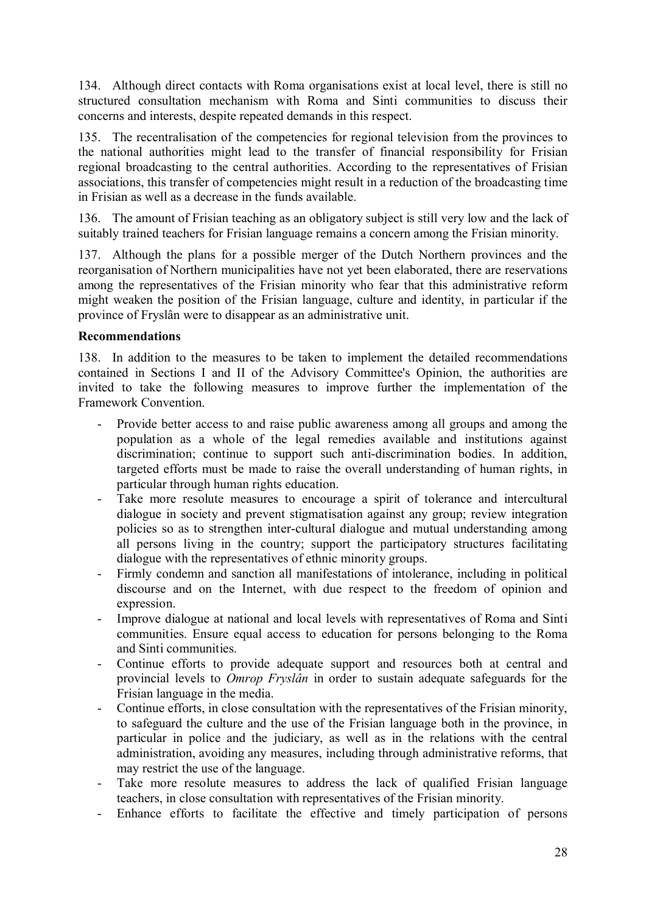134. Although direct contacts with Roma organisations exist at local level, there is still no structured consultation mechanism with Roma and Sinti communities to discuss their concerns and interests, despite repeated demands in this respect.

135. The recentralisation of the competencies for regional television from the provinces to the national authorities might lead to the transfer of financial responsibility for Frisian regional broadcasting to the central authorities. According to the representatives of Frisian associations, this transfer of competencies might result in a reduction of the broadcasting time in Frisian as well as a decrease in the funds available.

136. The amount of Frisian teaching as an obligatory subject is still very low and the lack of suitably trained teachers for Frisian language remains a concern among the Frisian minority.

137. Although the plans for a possible merger of the Dutch Northern provinces and the reorganisation of Northern municipalities have not yet been elaborated, there are reservations among the representatives of the Frisian minority who fear that this administrative reform might weaken the position of the Frisian language, culture and identity, in particular if the province of Fryslân were to disappear as an administrative unit.

## **Recommendations**

138. In addition to the measures to be taken to implement the detailed recommendations contained in Sections I and II of the Advisory Committee's Opinion, the authorities are invited to take the following measures to improve further the implementation of the Framework Convention.

- Provide better access to and raise public awareness among all groups and among the population as a whole of the legal remedies available and institutions against discrimination; continue to support such anti-discrimination bodies. In addition, targeted efforts must be made to raise the overall understanding of human rights, in particular through human rights education.
- Take more resolute measures to encourage a spirit of tolerance and intercultural dialogue in society and prevent stigmatisation against any group; review integration policies so as to strengthen inter-cultural dialogue and mutual understanding among all persons living in the country; support the participatory structures facilitating dialogue with the representatives of ethnic minority groups.
- Firmly condemn and sanction all manifestations of intolerance, including in political discourse and on the Internet, with due respect to the freedom of opinion and expression.
- Improve dialogue at national and local levels with representatives of Roma and Sinti communities. Ensure equal access to education for persons belonging to the Roma and Sinti communities.
- Continue efforts to provide adequate support and resources both at central and provincial levels to *Omrop Fryslân* in order to sustain adequate safeguards for the Frisian language in the media.
- Continue efforts, in close consultation with the representatives of the Frisian minority, to safeguard the culture and the use of the Frisian language both in the province, in particular in police and the judiciary, as well as in the relations with the central administration, avoiding any measures, including through administrative reforms, that may restrict the use of the language.
- Take more resolute measures to address the lack of qualified Frisian language teachers, in close consultation with representatives of the Frisian minority.
- Enhance efforts to facilitate the effective and timely participation of persons